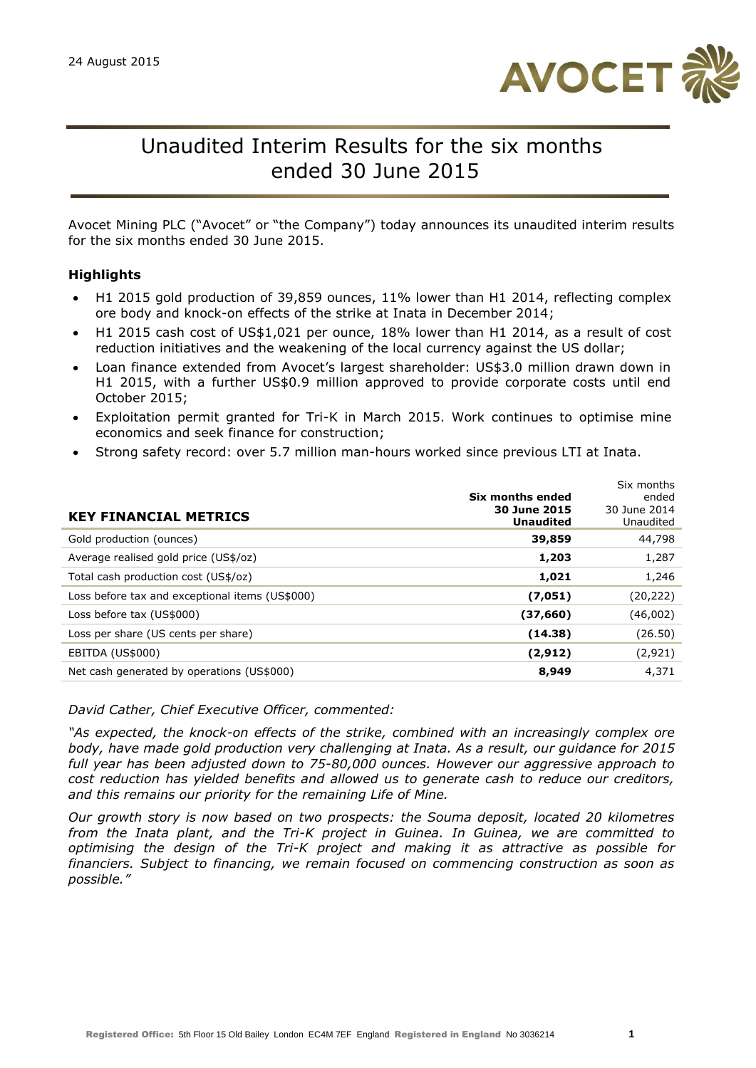

# Unaudited Interim Results for the six months ended 30 June 2015

Avocet Mining PLC ("Avocet" or "the Company") today announces its unaudited interim results for the six months ended 30 June 2015.

### **Highlights**

- H1 2015 gold production of 39,859 ounces, 11% lower than H1 2014, reflecting complex ore body and knock-on effects of the strike at Inata in December 2014;
- H1 2015 cash cost of US\$1,021 per ounce, 18% lower than H1 2014, as a result of cost reduction initiatives and the weakening of the local currency against the US dollar;
- Loan finance extended from Avocet's largest shareholder: US\$3.0 million drawn down in H1 2015, with a further US\$0.9 million approved to provide corporate costs until end October 2015;
- Exploitation permit granted for Tri-K in March 2015. Work continues to optimise mine economics and seek finance for construction;
- Strong safety record: over 5.7 million man-hours worked since previous LTI at Inata.

| <b>KEY FINANCIAL METRICS</b>                    | Six months ended<br>30 June 2015<br><b>Unaudited</b> | Six months<br>ended<br>30 June 2014<br>Unaudited |
|-------------------------------------------------|------------------------------------------------------|--------------------------------------------------|
| Gold production (ounces)                        | 39,859                                               | 44,798                                           |
| Average realised gold price (US\$/oz)           | 1,203                                                | 1,287                                            |
| Total cash production cost (US\$/oz)            | 1,021                                                | 1,246                                            |
| Loss before tax and exceptional items (US\$000) | (7,051)                                              | (20,222)                                         |
| Loss before tax (US\$000)                       | (37,660)                                             | (46,002)                                         |
| Loss per share (US cents per share)             | (14.38)                                              | (26.50)                                          |
| <b>EBITDA (US\$000)</b>                         | (2, 912)                                             | (2,921)                                          |
| Net cash generated by operations (US\$000)      | 8,949                                                | 4,371                                            |

*David Cather, Chief Executive Officer, commented:*

*"As expected, the knock-on effects of the strike, combined with an increasingly complex ore body, have made gold production very challenging at Inata. As a result, our guidance for 2015 full year has been adjusted down to 75-80,000 ounces. However our aggressive approach to cost reduction has yielded benefits and allowed us to generate cash to reduce our creditors, and this remains our priority for the remaining Life of Mine.*

*Our growth story is now based on two prospects: the Souma deposit, located 20 kilometres from the Inata plant, and the Tri-K project in Guinea. In Guinea, we are committed to optimising the design of the Tri-K project and making it as attractive as possible for financiers. Subject to financing, we remain focused on commencing construction as soon as possible."*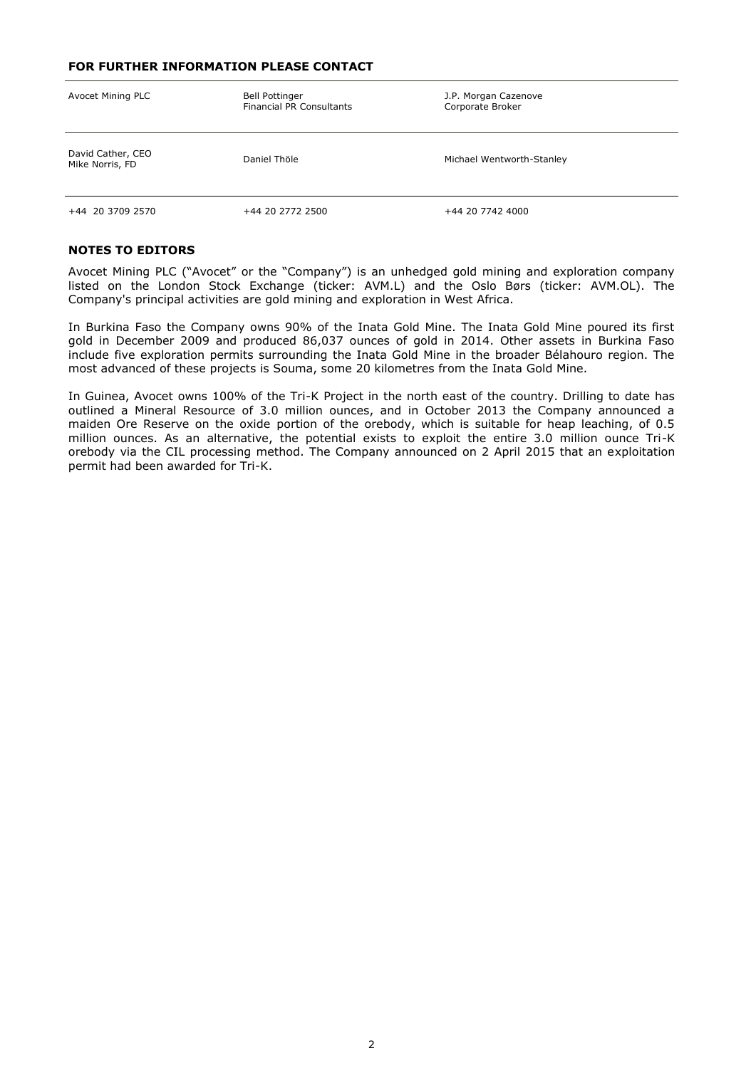#### **FOR FURTHER INFORMATION PLEASE CONTACT**

| Avocet Mining PLC                    | <b>Bell Pottinger</b><br><b>Financial PR Consultants</b> | J.P. Morgan Cazenove<br>Corporate Broker |  |  |
|--------------------------------------|----------------------------------------------------------|------------------------------------------|--|--|
| David Cather, CEO<br>Mike Norris, FD | Daniel Thöle                                             | Michael Wentworth-Stanley                |  |  |
| +44 20 3709 2570                     | +44 20 2772 2500                                         | +44 20 7742 4000                         |  |  |

#### **NOTES TO EDITORS**

Avocet Mining PLC ("Avocet" or the "Company") is an unhedged gold mining and exploration company listed on the London Stock Exchange (ticker: AVM.L) and the Oslo Børs (ticker: AVM.OL). The Company's principal activities are gold mining and exploration in West Africa.

In Burkina Faso the Company owns 90% of the Inata Gold Mine. The Inata Gold Mine poured its first gold in December 2009 and produced 86,037 ounces of gold in 2014. Other assets in Burkina Faso include five exploration permits surrounding the Inata Gold Mine in the broader Bélahouro region. The most advanced of these projects is Souma, some 20 kilometres from the Inata Gold Mine.

In Guinea, Avocet owns 100% of the Tri-K Project in the north east of the country. Drilling to date has outlined a Mineral Resource of 3.0 million ounces, and in October 2013 the Company announced a maiden Ore Reserve on the oxide portion of the orebody, which is suitable for heap leaching, of 0.5 million ounces. As an alternative, the potential exists to exploit the entire 3.0 million ounce Tri-K orebody via the CIL processing method. The Company announced on 2 April 2015 that an exploitation permit had been awarded for Tri-K.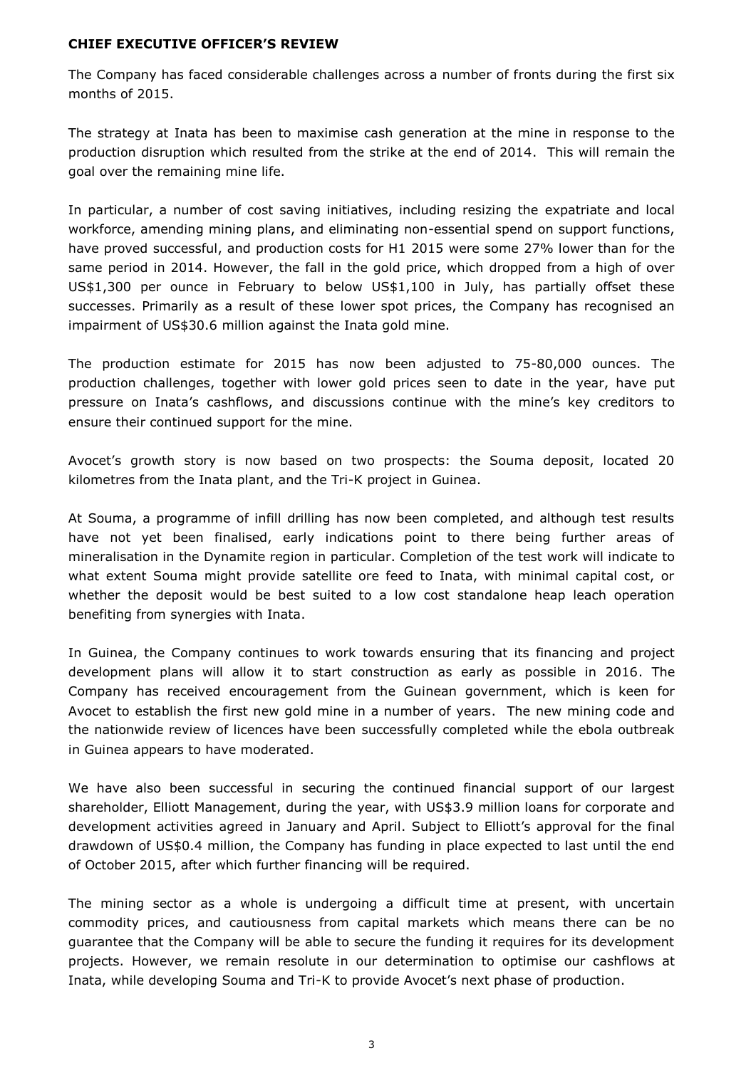#### **CHIEF EXECUTIVE OFFICER'S REVIEW**

The Company has faced considerable challenges across a number of fronts during the first six months of 2015.

The strategy at Inata has been to maximise cash generation at the mine in response to the production disruption which resulted from the strike at the end of 2014. This will remain the goal over the remaining mine life.

In particular, a number of cost saving initiatives, including resizing the expatriate and local workforce, amending mining plans, and eliminating non-essential spend on support functions, have proved successful, and production costs for H1 2015 were some 27% lower than for the same period in 2014. However, the fall in the gold price, which dropped from a high of over US\$1,300 per ounce in February to below US\$1,100 in July, has partially offset these successes. Primarily as a result of these lower spot prices, the Company has recognised an impairment of US\$30.6 million against the Inata gold mine.

The production estimate for 2015 has now been adjusted to 75-80,000 ounces. The production challenges, together with lower gold prices seen to date in the year, have put pressure on Inata's cashflows, and discussions continue with the mine's key creditors to ensure their continued support for the mine.

Avocet's growth story is now based on two prospects: the Souma deposit, located 20 kilometres from the Inata plant, and the Tri-K project in Guinea.

At Souma, a programme of infill drilling has now been completed, and although test results have not yet been finalised, early indications point to there being further areas of mineralisation in the Dynamite region in particular. Completion of the test work will indicate to what extent Souma might provide satellite ore feed to Inata, with minimal capital cost, or whether the deposit would be best suited to a low cost standalone heap leach operation benefiting from synergies with Inata.

In Guinea, the Company continues to work towards ensuring that its financing and project development plans will allow it to start construction as early as possible in 2016. The Company has received encouragement from the Guinean government, which is keen for Avocet to establish the first new gold mine in a number of years. The new mining code and the nationwide review of licences have been successfully completed while the ebola outbreak in Guinea appears to have moderated.

We have also been successful in securing the continued financial support of our largest shareholder, Elliott Management, during the year, with US\$3.9 million loans for corporate and development activities agreed in January and April. Subject to Elliott's approval for the final drawdown of US\$0.4 million, the Company has funding in place expected to last until the end of October 2015, after which further financing will be required.

The mining sector as a whole is undergoing a difficult time at present, with uncertain commodity prices, and cautiousness from capital markets which means there can be no guarantee that the Company will be able to secure the funding it requires for its development projects. However, we remain resolute in our determination to optimise our cashflows at Inata, while developing Souma and Tri-K to provide Avocet's next phase of production.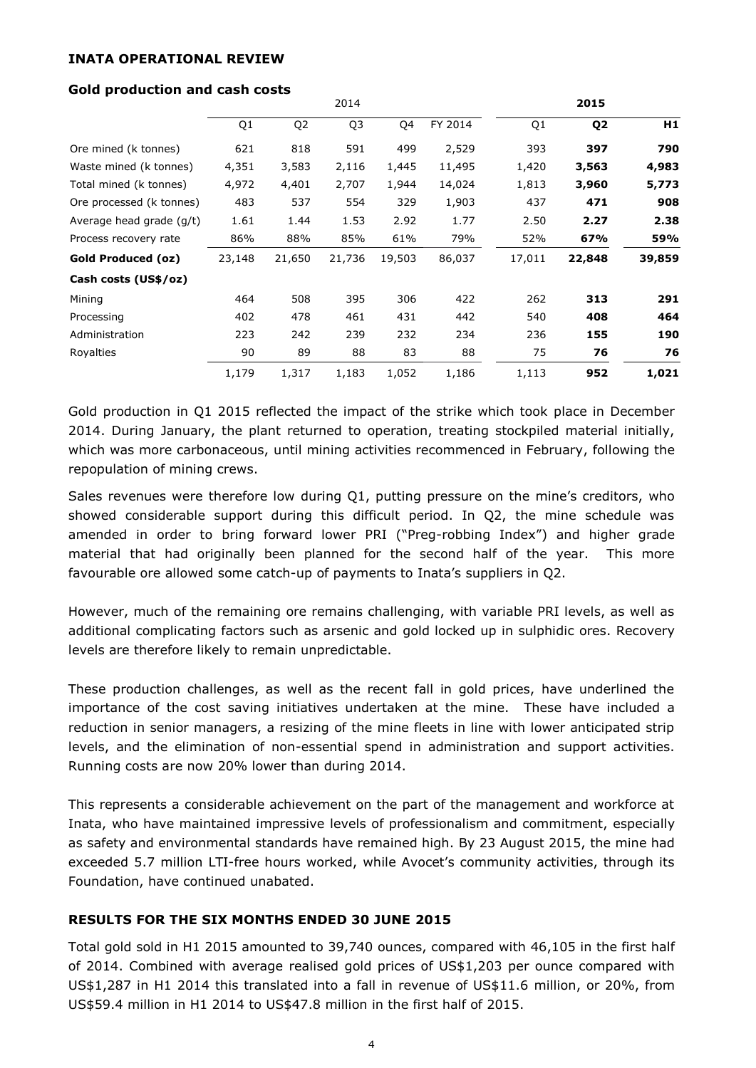#### **INATA OPERATIONAL REVIEW**

|                           |        |                | 2014           |        |         |                | 2015           |        |
|---------------------------|--------|----------------|----------------|--------|---------|----------------|----------------|--------|
|                           | Q1     | Q <sub>2</sub> | Q <sub>3</sub> | Q4     | FY 2014 | Q <sub>1</sub> | Q <sub>2</sub> | H1     |
| Ore mined (k tonnes)      | 621    | 818            | 591            | 499    | 2,529   | 393            | 397            | 790    |
| Waste mined (k tonnes)    | 4,351  | 3,583          | 2,116          | 1,445  | 11,495  | 1,420          | 3,563          | 4,983  |
| Total mined (k tonnes)    | 4,972  | 4,401          | 2,707          | 1,944  | 14,024  | 1,813          | 3,960          | 5,773  |
| Ore processed (k tonnes)  | 483    | 537            | 554            | 329    | 1,903   | 437            | 471            | 908    |
| Average head grade (g/t)  | 1.61   | 1.44           | 1.53           | 2.92   | 1.77    | 2.50           | 2.27           | 2.38   |
| Process recovery rate     | 86%    | 88%            | 85%            | 61%    | 79%     | 52%            | 67%            | 59%    |
| <b>Gold Produced (oz)</b> | 23,148 | 21,650         | 21,736         | 19,503 | 86,037  | 17,011         | 22,848         | 39,859 |
| Cash costs (US\$/oz)      |        |                |                |        |         |                |                |        |
| Mining                    | 464    | 508            | 395            | 306    | 422     | 262            | 313            | 291    |
| Processing                | 402    | 478            | 461            | 431    | 442     | 540            | 408            | 464    |
| Administration            | 223    | 242            | 239            | 232    | 234     | 236            | 155            | 190    |
| Royalties                 | 90     | 89             | 88             | 83     | 88      | 75             | 76             | 76     |
|                           | 1,179  | 1,317          | 1,183          | 1,052  | 1,186   | 1,113          | 952            | 1,021  |

#### **Gold production and cash costs**

Gold production in Q1 2015 reflected the impact of the strike which took place in December 2014. During January, the plant returned to operation, treating stockpiled material initially, which was more carbonaceous, until mining activities recommenced in February, following the repopulation of mining crews.

Sales revenues were therefore low during Q1, putting pressure on the mine's creditors, who showed considerable support during this difficult period. In Q2, the mine schedule was amended in order to bring forward lower PRI ("Preg-robbing Index") and higher grade material that had originally been planned for the second half of the year. This more favourable ore allowed some catch-up of payments to Inata's suppliers in Q2.

However, much of the remaining ore remains challenging, with variable PRI levels, as well as additional complicating factors such as arsenic and gold locked up in sulphidic ores. Recovery levels are therefore likely to remain unpredictable.

These production challenges, as well as the recent fall in gold prices, have underlined the importance of the cost saving initiatives undertaken at the mine. These have included a reduction in senior managers, a resizing of the mine fleets in line with lower anticipated strip levels, and the elimination of non-essential spend in administration and support activities. Running costs are now 20% lower than during 2014.

This represents a considerable achievement on the part of the management and workforce at Inata, who have maintained impressive levels of professionalism and commitment, especially as safety and environmental standards have remained high. By 23 August 2015, the mine had exceeded 5.7 million LTI-free hours worked, while Avocet's community activities, through its Foundation, have continued unabated.

## **RESULTS FOR THE SIX MONTHS ENDED 30 JUNE 2015**

Total gold sold in H1 2015 amounted to 39,740 ounces, compared with 46,105 in the first half of 2014. Combined with average realised gold prices of US\$1,203 per ounce compared with US\$1,287 in H1 2014 this translated into a fall in revenue of US\$11.6 million, or 20%, from US\$59.4 million in H1 2014 to US\$47.8 million in the first half of 2015.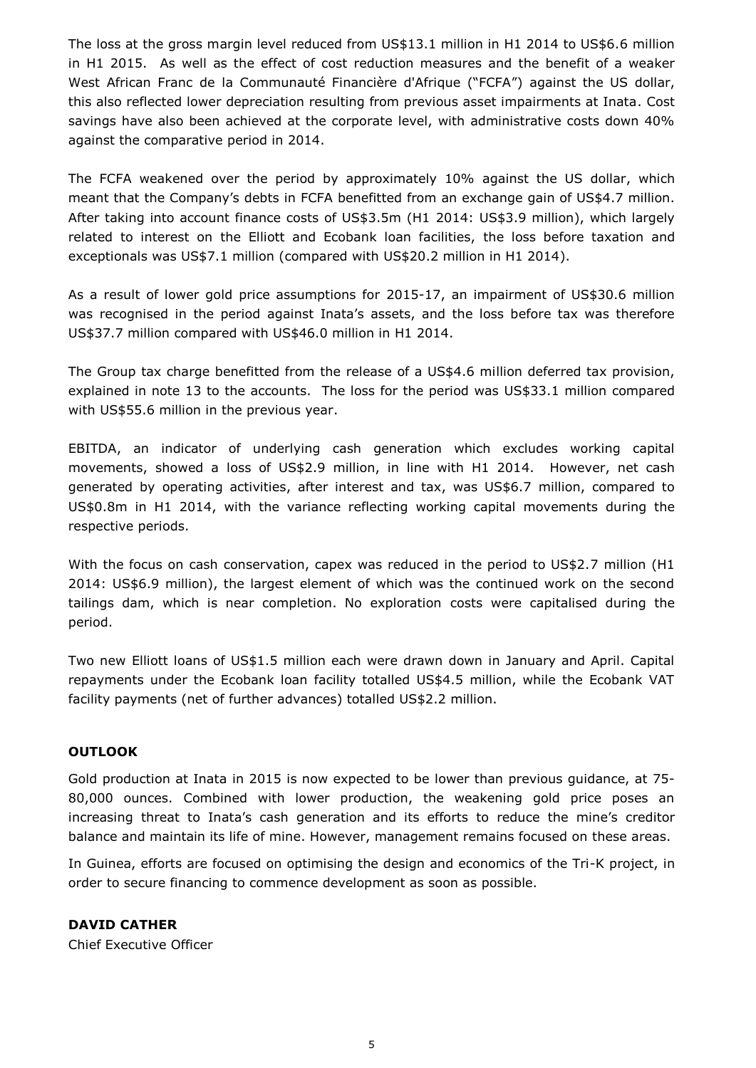The loss at the gross margin level reduced from US\$13.1 million in H1 2014 to US\$6.6 million in H1 2015. As well as the effect of cost reduction measures and the benefit of a weaker West African Franc de la Communauté Financière d'Afrique ("FCFA") against the US dollar, this also reflected lower depreciation resulting from previous asset impairments at Inata. Cost savings have also been achieved at the corporate level, with administrative costs down 40% against the comparative period in 2014.

The FCFA weakened over the period by approximately 10% against the US dollar, which meant that the Company's debts in FCFA benefitted from an exchange gain of US\$4.7 million. After taking into account finance costs of US\$3.5m (H1 2014: US\$3.9 million), which largely related to interest on the Elliott and Ecobank loan facilities, the loss before taxation and exceptionals was US\$7.1 million (compared with US\$20.2 million in H1 2014).

As a result of lower gold price assumptions for 2015-17, an impairment of US\$30.6 million was recognised in the period against Inata's assets, and the loss before tax was therefore US\$37.7 million compared with US\$46.0 million in H1 2014.

The Group tax charge benefitted from the release of a US\$4.6 million deferred tax provision, explained in note 13 to the accounts. The loss for the period was US\$33.1 million compared with US\$55.6 million in the previous year.

EBITDA, an indicator of underlying cash generation which excludes working capital movements, showed a loss of US\$2.9 million, in line with H1 2014. However, net cash generated by operating activities, after interest and tax, was US\$6.7 million, compared to US\$0.8m in H1 2014, with the variance reflecting working capital movements during the respective periods.

With the focus on cash conservation, capex was reduced in the period to US\$2.7 million (H1 2014: US\$6.9 million), the largest element of which was the continued work on the second tailings dam, which is near completion. No exploration costs were capitalised during the period.

Two new Elliott loans of US\$1.5 million each were drawn down in January and April. Capital repayments under the Ecobank loan facility totalled US\$4.5 million, while the Ecobank VAT facility payments (net of further advances) totalled US\$2.2 million.

#### **OUTLOOK**

Gold production at Inata in 2015 is now expected to be lower than previous guidance, at 75- 80,000 ounces. Combined with lower production, the weakening gold price poses an increasing threat to Inata's cash generation and its efforts to reduce the mine's creditor balance and maintain its life of mine. However, management remains focused on these areas.

In Guinea, efforts are focused on optimising the design and economics of the Tri-K project, in order to secure financing to commence development as soon as possible.

## **DAVID CATHER**

Chief Executive Officer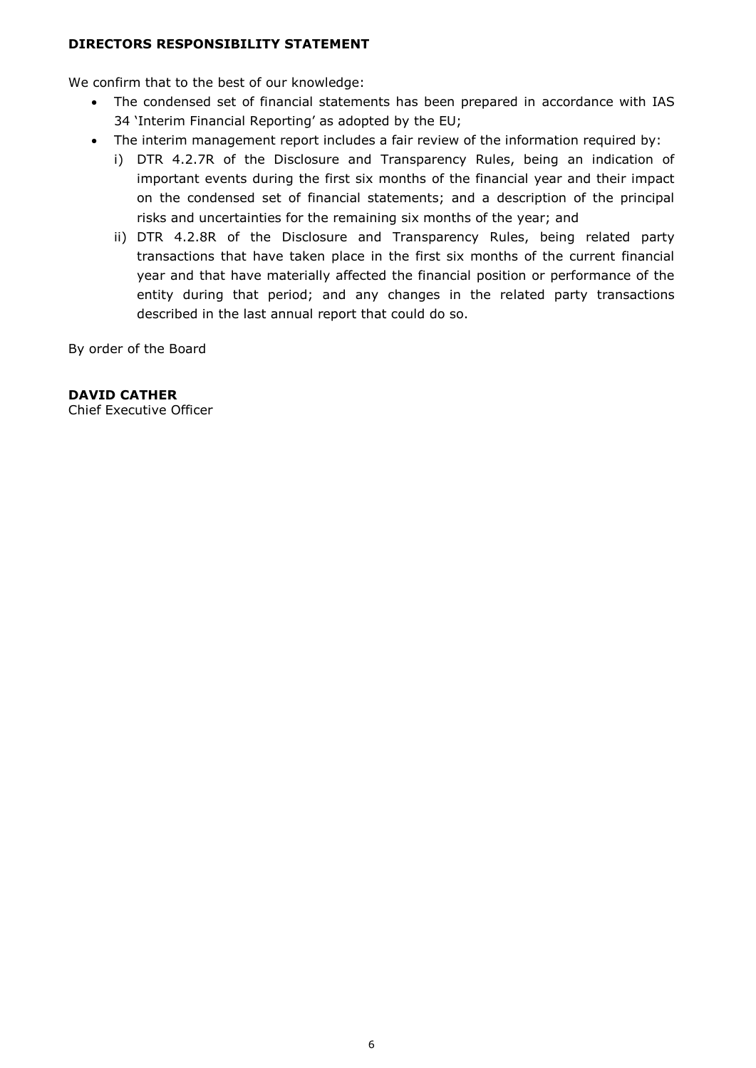#### **DIRECTORS RESPONSIBILITY STATEMENT**

We confirm that to the best of our knowledge:

- The condensed set of financial statements has been prepared in accordance with IAS 34 'Interim Financial Reporting' as adopted by the EU;
- The interim management report includes a fair review of the information required by:
	- i) DTR 4.2.7R of the Disclosure and Transparency Rules, being an indication of important events during the first six months of the financial year and their impact on the condensed set of financial statements; and a description of the principal risks and uncertainties for the remaining six months of the year; and
	- ii) DTR 4.2.8R of the Disclosure and Transparency Rules, being related party transactions that have taken place in the first six months of the current financial year and that have materially affected the financial position or performance of the entity during that period; and any changes in the related party transactions described in the last annual report that could do so.

By order of the Board

### **DAVID CATHER**

Chief Executive Officer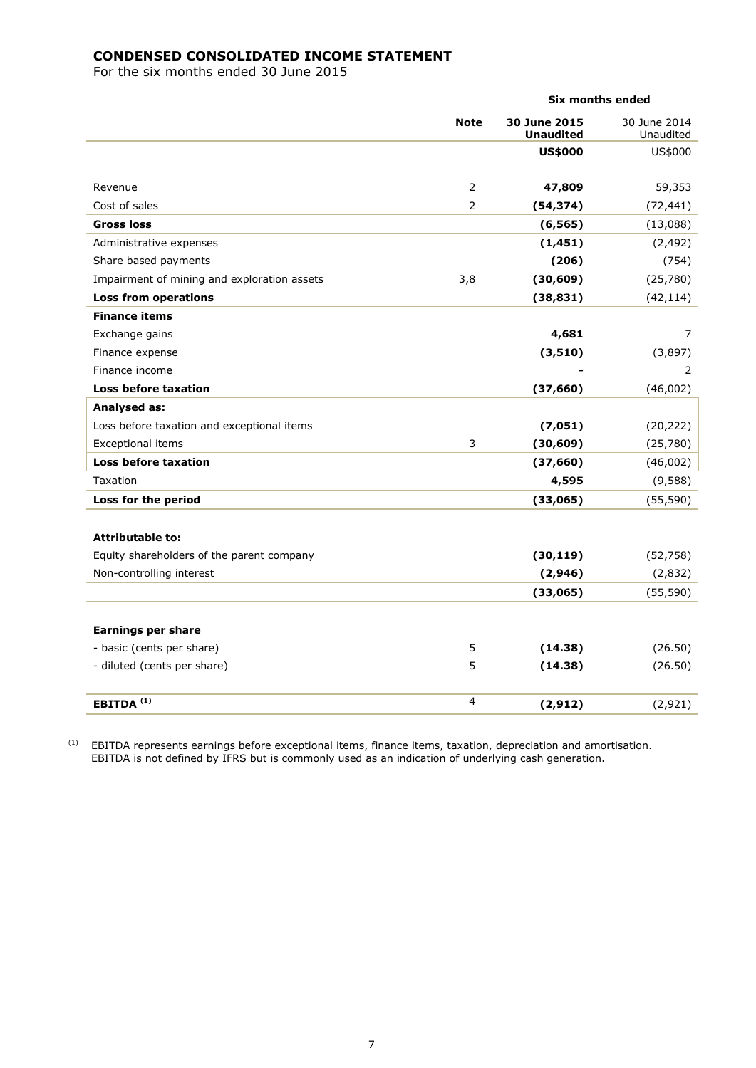## **CONDENSED CONSOLIDATED INCOME STATEMENT**

For the six months ended 30 June 2015

|                                             | <b>Six months ended</b> |                                  |                           |  |
|---------------------------------------------|-------------------------|----------------------------------|---------------------------|--|
|                                             | <b>Note</b>             | 30 June 2015<br><b>Unaudited</b> | 30 June 2014<br>Unaudited |  |
|                                             |                         | <b>US\$000</b>                   | US\$000                   |  |
| Revenue                                     | 2                       | 47,809                           | 59,353                    |  |
| Cost of sales                               | $\overline{2}$          | (54, 374)                        | (72, 441)                 |  |
| <b>Gross loss</b>                           |                         | (6, 565)                         | (13,088)                  |  |
| Administrative expenses                     |                         | (1, 451)                         | (2, 492)                  |  |
| Share based payments                        |                         | (206)                            | (754)                     |  |
| Impairment of mining and exploration assets | 3,8                     | (30, 609)                        | (25,780)                  |  |
| <b>Loss from operations</b>                 |                         | (38, 831)                        | (42, 114)                 |  |
| <b>Finance items</b>                        |                         |                                  |                           |  |
| Exchange gains                              |                         | 4,681                            | 7                         |  |
| Finance expense                             |                         | (3, 510)                         | (3,897)                   |  |
| Finance income                              |                         |                                  | 2                         |  |
| Loss before taxation                        |                         | (37, 660)                        | (46,002)                  |  |
| <b>Analysed as:</b>                         |                         |                                  |                           |  |
| Loss before taxation and exceptional items  |                         | (7,051)                          | (20, 222)                 |  |
| <b>Exceptional items</b>                    | 3                       | (30, 609)                        | (25,780)                  |  |
| <b>Loss before taxation</b>                 |                         | (37, 660)                        | (46,002)                  |  |
| Taxation                                    |                         | 4,595                            | (9,588)                   |  |
| Loss for the period                         |                         | (33,065)                         | (55, 590)                 |  |
| <b>Attributable to:</b>                     |                         |                                  |                           |  |
| Equity shareholders of the parent company   |                         | (30, 119)                        | (52, 758)                 |  |
| Non-controlling interest                    |                         | (2,946)                          | (2,832)                   |  |
|                                             |                         | (33,065)                         | (55, 590)                 |  |
| <b>Earnings per share</b>                   |                         |                                  |                           |  |
| - basic (cents per share)                   | 5                       | (14.38)                          | (26.50)                   |  |
| - diluted (cents per share)                 | 5                       | (14.38)                          | (26.50)                   |  |
| EBITDA <sup>(1)</sup>                       | 4                       | (2, 912)                         | (2,921)                   |  |

 $<sup>(1)</sup>$  EBITDA represents earnings before exceptional items, finance items, taxation, depreciation and amortisation.</sup> EBITDA is not defined by IFRS but is commonly used as an indication of underlying cash generation.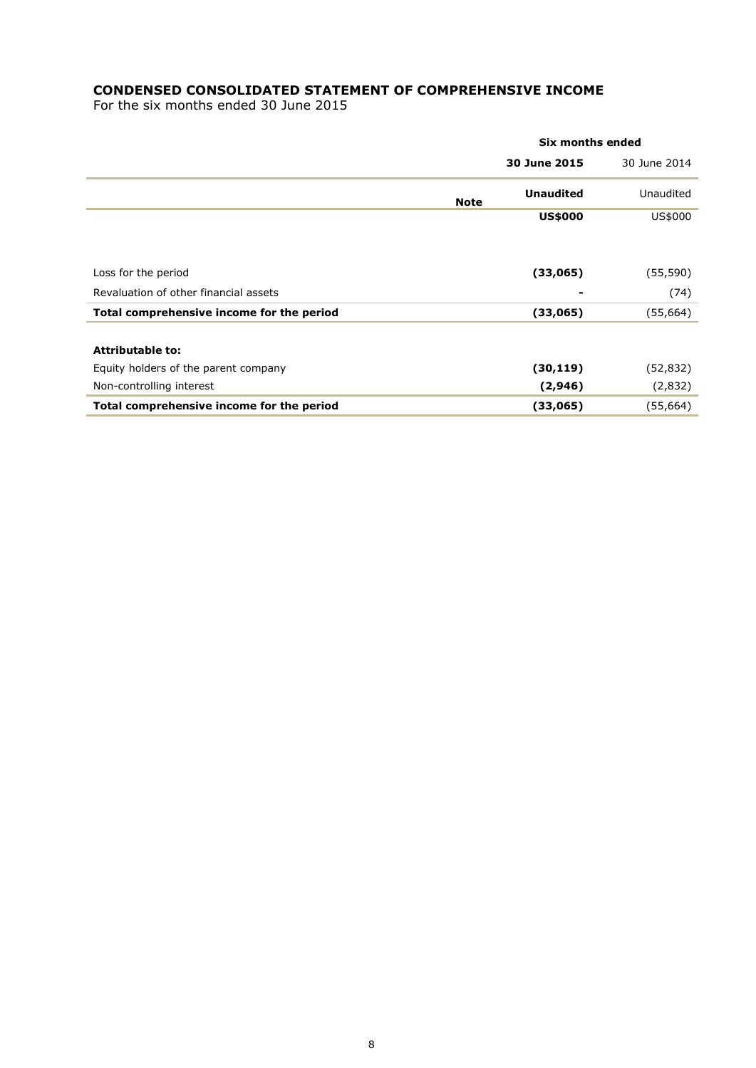## **CONDENSED CONSOLIDATED STATEMENT OF COMPREHENSIVE INCOME**

For the six months ended 30 June 2015

|                                           |                                 | Six months ended |
|-------------------------------------------|---------------------------------|------------------|
|                                           | 30 June 2015                    | 30 June 2014     |
|                                           | <b>Unaudited</b><br><b>Note</b> | Unaudited        |
|                                           | <b>US\$000</b>                  | US\$000          |
|                                           |                                 |                  |
| Loss for the period                       | (33,065)                        | (55, 590)        |
| Revaluation of other financial assets     |                                 | (74)<br>۰        |
| Total comprehensive income for the period | (33,065)                        | (55,664)         |
|                                           |                                 |                  |
| <b>Attributable to:</b>                   |                                 |                  |
| Equity holders of the parent company      | (30, 119)                       | (52,832)         |
| Non-controlling interest                  | (2,946)                         | (2,832)          |
| Total comprehensive income for the period | (33,065)                        | (55,664)         |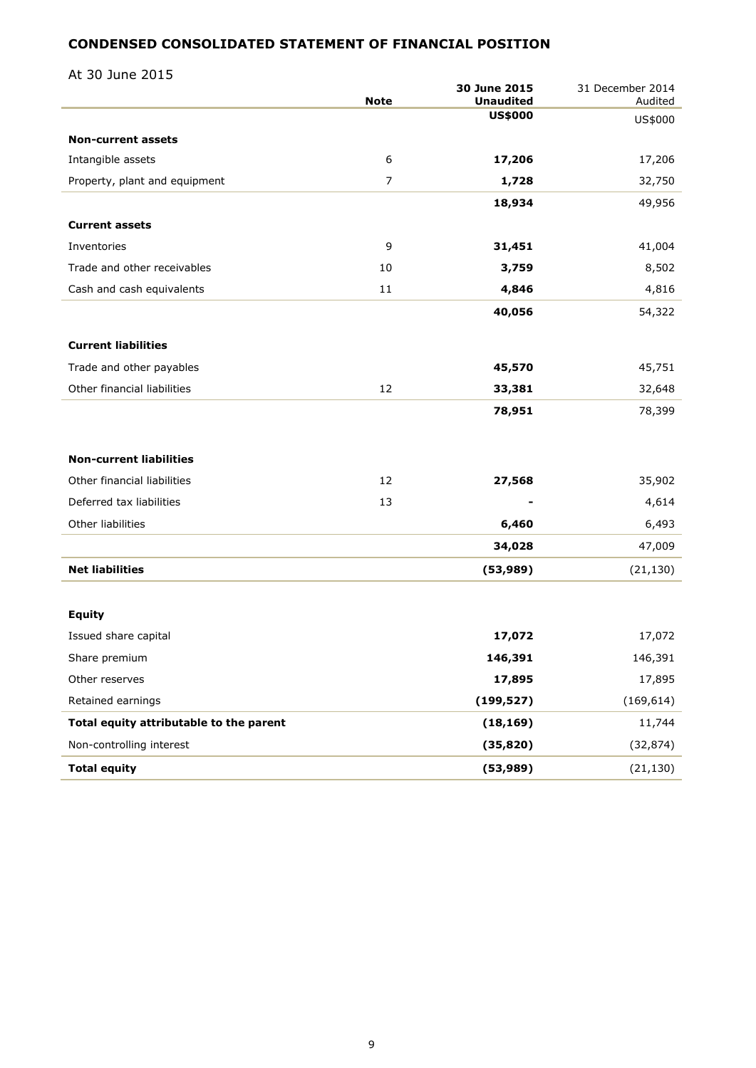## **CONDENSED CONSOLIDATED STATEMENT OF FINANCIAL POSITION**

At 30 June 2015

|                                         | <b>Note</b>    | 30 June 2015<br><b>Unaudited</b> | 31 December 2014<br>Audited |
|-----------------------------------------|----------------|----------------------------------|-----------------------------|
|                                         |                | <b>US\$000</b>                   | US\$000                     |
| <b>Non-current assets</b>               |                |                                  |                             |
| Intangible assets                       | 6              | 17,206                           | 17,206                      |
| Property, plant and equipment           | $\overline{7}$ | 1,728                            | 32,750                      |
|                                         |                | 18,934                           | 49,956                      |
| <b>Current assets</b>                   |                |                                  |                             |
| Inventories                             | 9              | 31,451                           | 41,004                      |
| Trade and other receivables             | 10             | 3,759                            | 8,502                       |
| Cash and cash equivalents               | 11             | 4,846                            | 4,816                       |
|                                         |                | 40,056                           | 54,322                      |
|                                         |                |                                  |                             |
| <b>Current liabilities</b>              |                |                                  |                             |
| Trade and other payables                |                | 45,570                           | 45,751                      |
| Other financial liabilities             | 12             | 33,381                           | 32,648                      |
|                                         |                | 78,951                           | 78,399                      |
|                                         |                |                                  |                             |
| <b>Non-current liabilities</b>          |                |                                  |                             |
| Other financial liabilities             | 12             | 27,568                           | 35,902                      |
| Deferred tax liabilities                | 13             |                                  | 4,614                       |
| Other liabilities                       |                | 6,460                            | 6,493                       |
|                                         |                | 34,028                           | 47,009                      |
| <b>Net liabilities</b>                  |                | (53, 989)                        | (21, 130)                   |
|                                         |                |                                  |                             |
| <b>Equity</b>                           |                |                                  |                             |
| Issued share capital                    |                | 17,072                           | 17,072                      |
| Share premium                           |                | 146,391                          | 146,391                     |
| Other reserves                          |                | 17,895                           | 17,895                      |
| Retained earnings                       |                | (199, 527)                       | (169, 614)                  |
| Total equity attributable to the parent |                | (18, 169)                        | 11,744                      |
| Non-controlling interest                |                | (35, 820)                        | (32, 874)                   |
| <b>Total equity</b>                     |                | (53, 989)                        | (21, 130)                   |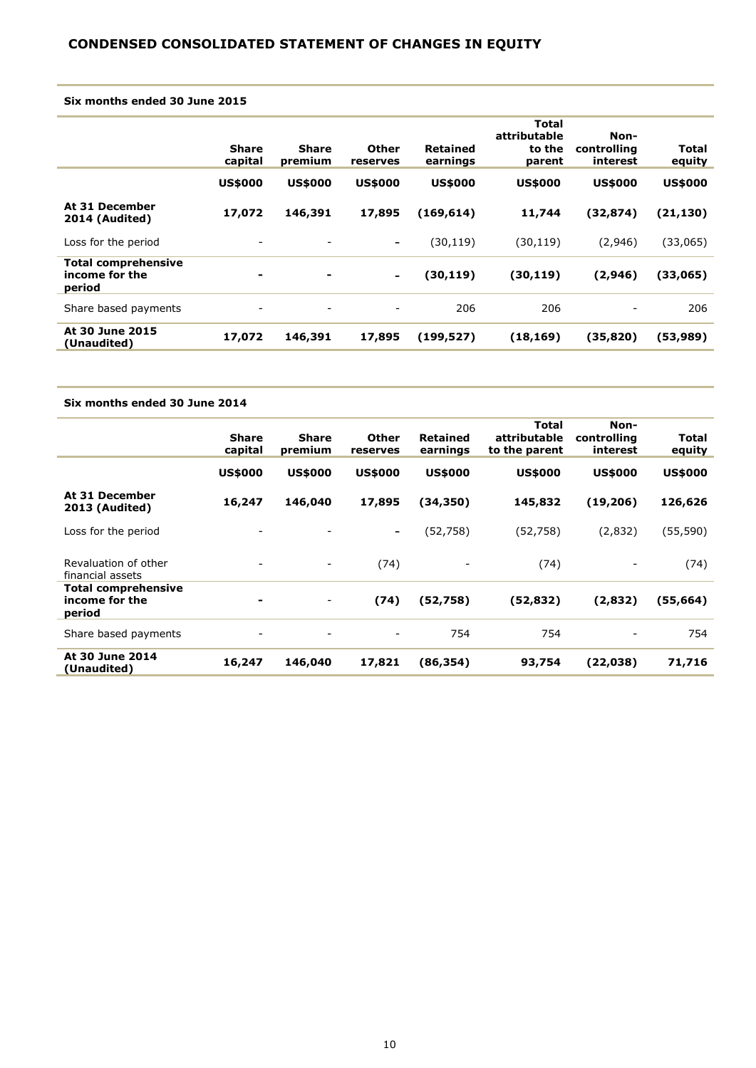#### **Six months ended 30 June 2015**

|                                                        | <b>Share</b><br>capital | <b>Share</b><br>premium | Other<br>reserves        | Retained<br>earnings | Total<br>attributable<br>to the<br>parent | Non-<br>controlling<br>interest | Total<br>equity |
|--------------------------------------------------------|-------------------------|-------------------------|--------------------------|----------------------|-------------------------------------------|---------------------------------|-----------------|
|                                                        | <b>US\$000</b>          | <b>US\$000</b>          | <b>US\$000</b>           | <b>US\$000</b>       | <b>US\$000</b>                            | <b>US\$000</b>                  | <b>US\$000</b>  |
| At 31 December<br>2014 (Audited)                       | 17,072                  | 146,391                 | 17,895                   | (169, 614)           | 11,744                                    | (32, 874)                       | (21, 130)       |
| Loss for the period                                    |                         |                         | $\overline{\phantom{a}}$ | (30, 119)            | (30,119)                                  | (2,946)                         | (33,065)        |
| <b>Total comprehensive</b><br>income for the<br>period | ۰                       | $\blacksquare$          | $\blacksquare$           | (30, 119)            | (30, 119)                                 | (2,946)                         | (33,065)        |
| Share based payments                                   | ۰                       |                         | -                        | 206                  | 206                                       | ۰                               | 206             |
| At 30 June 2015<br>(Unaudited)                         | 17,072                  | 146,391                 | 17,895                   | (199, 527)           | (18, 169)                                 | (35, 820)                       | (53,989)        |

#### **Six months ended 30 June 2014**

|                                                        | <b>Share</b><br>capital | <b>Share</b><br>premium  | Other<br>reserves            | Retained<br>earnings | Total<br>attributable<br>to the parent | Non-<br>controlling<br>interest | Total<br>equity |
|--------------------------------------------------------|-------------------------|--------------------------|------------------------------|----------------------|----------------------------------------|---------------------------------|-----------------|
|                                                        | <b>US\$000</b>          | <b>US\$000</b>           | <b>US\$000</b>               | <b>US\$000</b>       | <b>US\$000</b>                         | <b>US\$000</b>                  | <b>US\$000</b>  |
| At 31 December<br>2013 (Audited)                       | 16,247                  | 146,040                  | 17,895                       | (34, 350)            | 145,832                                | (19,206)                        | 126,626         |
| Loss for the period                                    |                         |                          | $\qquad \qquad \blacksquare$ | (52, 758)            | (52, 758)                              | (2,832)                         | (55, 590)       |
| Revaluation of other<br>financial assets               |                         | $\overline{\phantom{a}}$ | (74)                         |                      | (74)                                   |                                 | (74)            |
| <b>Total comprehensive</b><br>income for the<br>period | ۰                       | Ξ.                       | (74)                         | (52,758)             | (52,832)                               | (2,832)                         | (55,664)        |
| Share based payments                                   | $\overline{a}$          |                          |                              | 754                  | 754                                    |                                 | 754             |
| At 30 June 2014<br>(Unaudited)                         | 16,247                  | 146,040                  | 17,821                       | (86, 354)            | 93,754                                 | (22,038)                        | 71,716          |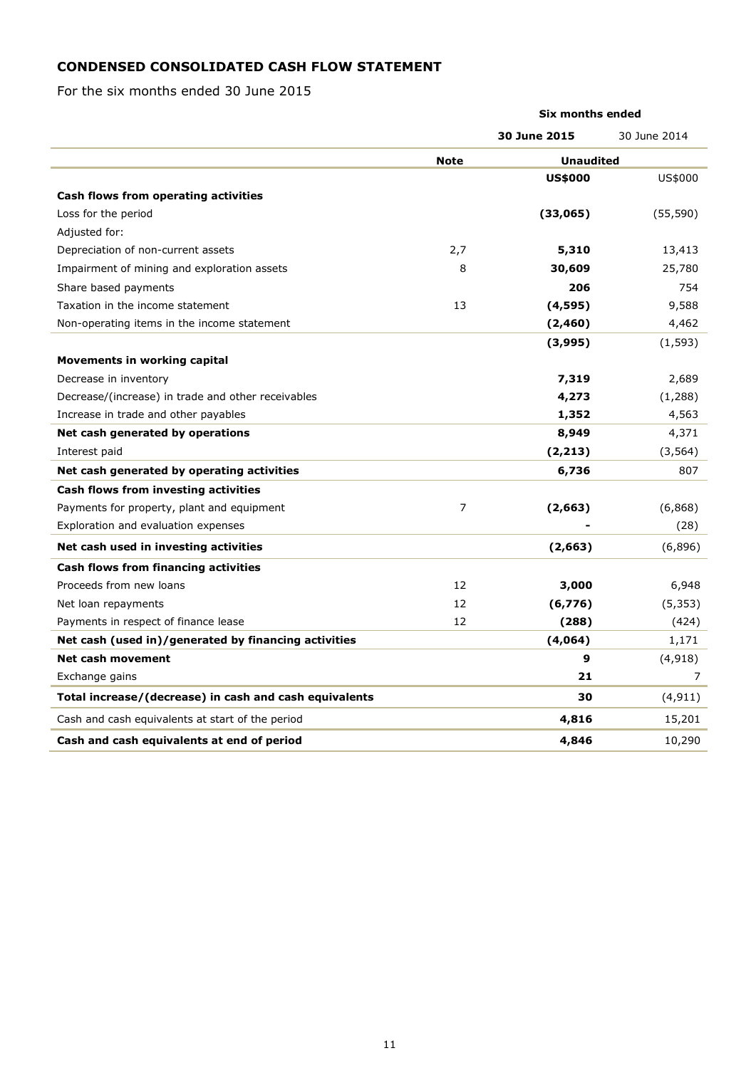## **CONDENSED CONSOLIDATED CASH FLOW STATEMENT**

For the six months ended 30 June 2015

|                                                        | <b>Six months ended</b> |                  |              |  |
|--------------------------------------------------------|-------------------------|------------------|--------------|--|
|                                                        |                         | 30 June 2015     | 30 June 2014 |  |
|                                                        | <b>Note</b>             | <b>Unaudited</b> |              |  |
|                                                        |                         | <b>US\$000</b>   | US\$000      |  |
| Cash flows from operating activities                   |                         |                  |              |  |
| Loss for the period                                    |                         | (33,065)         | (55, 590)    |  |
| Adjusted for:                                          |                         |                  |              |  |
| Depreciation of non-current assets                     | 2,7                     | 5,310            | 13,413       |  |
| Impairment of mining and exploration assets            | 8                       | 30,609           | 25,780       |  |
| Share based payments                                   |                         | 206              | 754          |  |
| Taxation in the income statement                       | 13                      | (4,595)          | 9,588        |  |
| Non-operating items in the income statement            |                         | (2, 460)         | 4,462        |  |
|                                                        |                         | (3,995)          | (1, 593)     |  |
| Movements in working capital                           |                         |                  |              |  |
| Decrease in inventory                                  |                         | 7,319            | 2,689        |  |
| Decrease/(increase) in trade and other receivables     |                         | 4,273            | (1,288)      |  |
| Increase in trade and other payables                   |                         | 1,352            | 4,563        |  |
| Net cash generated by operations                       |                         | 8,949            | 4,371        |  |
| Interest paid                                          |                         | (2, 213)         | (3, 564)     |  |
| Net cash generated by operating activities             |                         | 6,736            | 807          |  |
| Cash flows from investing activities                   |                         |                  |              |  |
| Payments for property, plant and equipment             | $\overline{7}$          | (2,663)          | (6, 868)     |  |
| Exploration and evaluation expenses                    |                         |                  | (28)         |  |
| Net cash used in investing activities                  |                         | (2,663)          | (6,896)      |  |
| Cash flows from financing activities                   |                         |                  |              |  |
| Proceeds from new loans                                | 12                      | 3,000            | 6,948        |  |
| Net loan repayments                                    | 12                      | (6, 776)         | (5, 353)     |  |
| Payments in respect of finance lease                   | 12                      | (288)            | (424)        |  |
| Net cash (used in)/generated by financing activities   |                         | (4,064)          | 1,171        |  |
| <b>Net cash movement</b>                               |                         | 9                | (4, 918)     |  |
| Exchange gains                                         |                         | 21               | 7            |  |
| Total increase/(decrease) in cash and cash equivalents |                         | 30               | (4, 911)     |  |
| Cash and cash equivalents at start of the period       |                         | 4,816            | 15,201       |  |
| Cash and cash equivalents at end of period             |                         | 4,846            | 10,290       |  |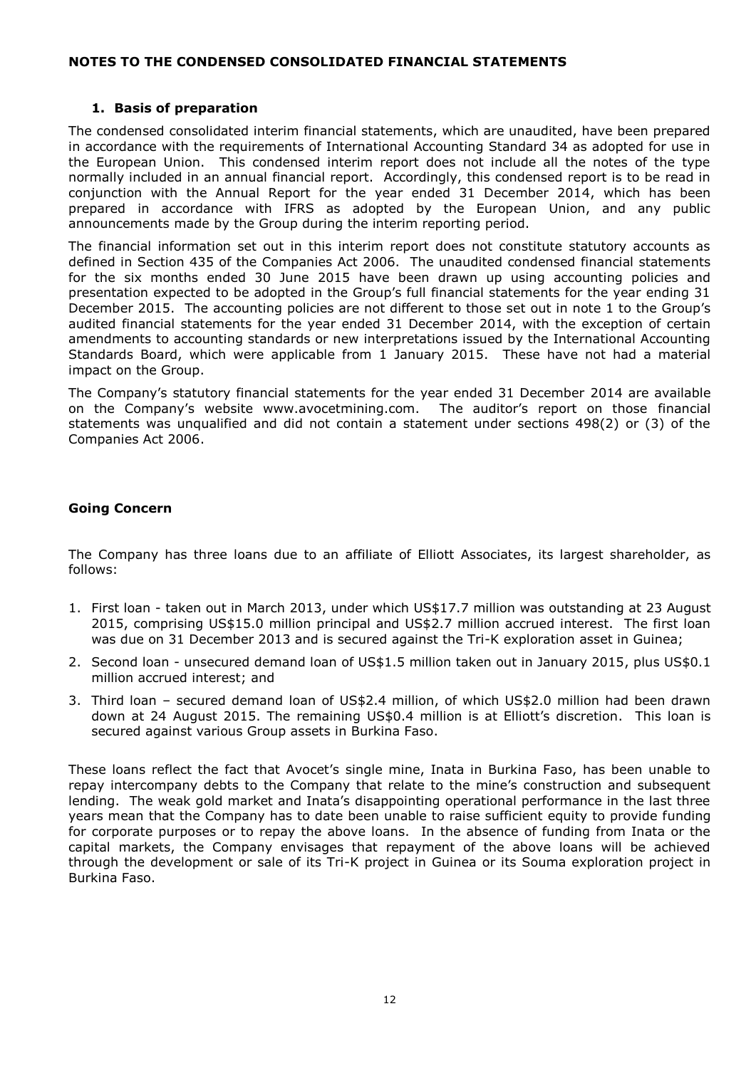### **NOTES TO THE CONDENSED CONSOLIDATED FINANCIAL STATEMENTS**

#### **1. Basis of preparation**

The condensed consolidated interim financial statements, which are unaudited, have been prepared in accordance with the requirements of International Accounting Standard 34 as adopted for use in the European Union. This condensed interim report does not include all the notes of the type normally included in an annual financial report. Accordingly, this condensed report is to be read in conjunction with the Annual Report for the year ended 31 December 2014, which has been prepared in accordance with IFRS as adopted by the European Union, and any public announcements made by the Group during the interim reporting period.

The financial information set out in this interim report does not constitute statutory accounts as defined in Section 435 of the Companies Act 2006. The unaudited condensed financial statements for the six months ended 30 June 2015 have been drawn up using accounting policies and presentation expected to be adopted in the Group's full financial statements for the year ending 31 December 2015. The accounting policies are not different to those set out in note 1 to the Group's audited financial statements for the year ended 31 December 2014, with the exception of certain amendments to accounting standards or new interpretations issued by the International Accounting Standards Board, which were applicable from 1 January 2015. These have not had a material impact on the Group.

The Company's statutory financial statements for the year ended 31 December 2014 are available on the Company's website www.avocetmining.com. The auditor's report on those financial statements was unqualified and did not contain a statement under sections 498(2) or (3) of the Companies Act 2006.

### **Going Concern**

The Company has three loans due to an affiliate of Elliott Associates, its largest shareholder, as follows:

- 1. First loan taken out in March 2013, under which US\$17.7 million was outstanding at 23 August 2015, comprising US\$15.0 million principal and US\$2.7 million accrued interest. The first loan was due on 31 December 2013 and is secured against the Tri-K exploration asset in Guinea;
- 2. Second loan unsecured demand loan of US\$1.5 million taken out in January 2015, plus US\$0.1 million accrued interest; and
- 3. Third loan secured demand loan of US\$2.4 million, of which US\$2.0 million had been drawn down at 24 August 2015. The remaining US\$0.4 million is at Elliott's discretion. This loan is secured against various Group assets in Burkina Faso.

These loans reflect the fact that Avocet's single mine, Inata in Burkina Faso, has been unable to repay intercompany debts to the Company that relate to the mine's construction and subsequent lending. The weak gold market and Inata's disappointing operational performance in the last three years mean that the Company has to date been unable to raise sufficient equity to provide funding for corporate purposes or to repay the above loans. In the absence of funding from Inata or the capital markets, the Company envisages that repayment of the above loans will be achieved through the development or sale of its Tri-K project in Guinea or its Souma exploration project in Burkina Faso.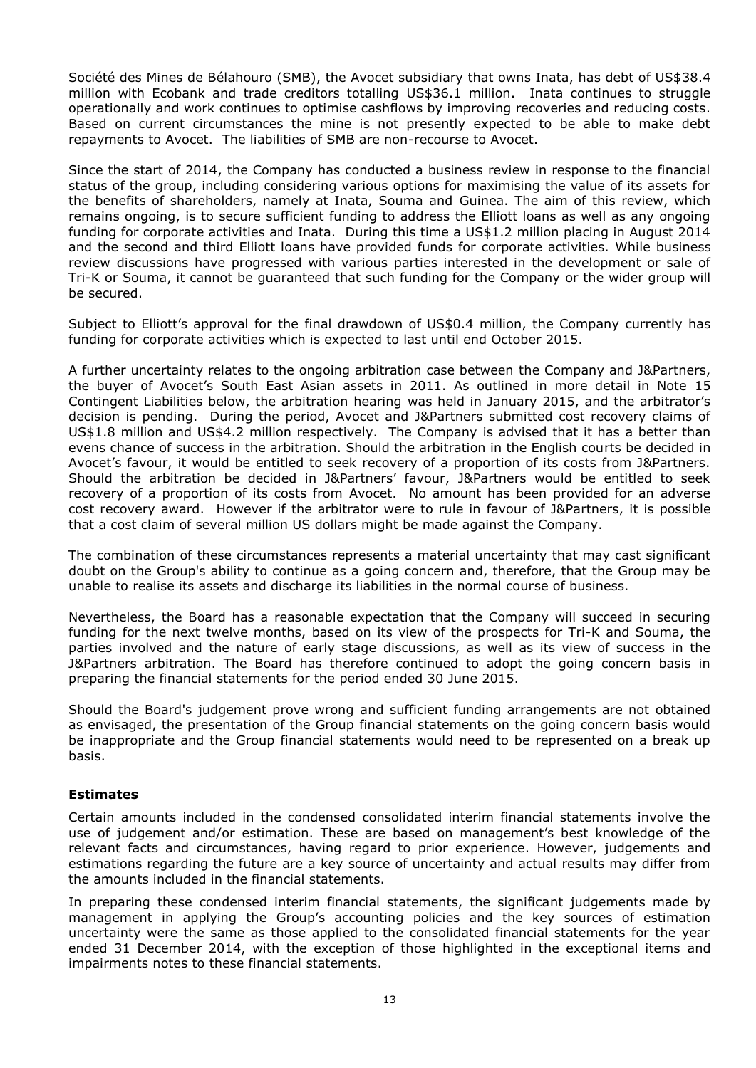Société des Mines de Bélahouro (SMB), the Avocet subsidiary that owns Inata, has debt of US\$38.4 million with Ecobank and trade creditors totalling US\$36.1 million. Inata continues to struggle operationally and work continues to optimise cashflows by improving recoveries and reducing costs. Based on current circumstances the mine is not presently expected to be able to make debt repayments to Avocet. The liabilities of SMB are non-recourse to Avocet.

Since the start of 2014, the Company has conducted a business review in response to the financial status of the group, including considering various options for maximising the value of its assets for the benefits of shareholders, namely at Inata, Souma and Guinea. The aim of this review, which remains ongoing, is to secure sufficient funding to address the Elliott loans as well as any ongoing funding for corporate activities and Inata. During this time a US\$1.2 million placing in August 2014 and the second and third Elliott loans have provided funds for corporate activities. While business review discussions have progressed with various parties interested in the development or sale of Tri-K or Souma, it cannot be guaranteed that such funding for the Company or the wider group will be secured.

Subject to Elliott's approval for the final drawdown of US\$0.4 million, the Company currently has funding for corporate activities which is expected to last until end October 2015.

A further uncertainty relates to the ongoing arbitration case between the Company and J&Partners, the buyer of Avocet's South East Asian assets in 2011. As outlined in more detail in Note 15 Contingent Liabilities below, the arbitration hearing was held in January 2015, and the arbitrator's decision is pending. During the period, Avocet and J&Partners submitted cost recovery claims of US\$1.8 million and US\$4.2 million respectively. The Company is advised that it has a better than evens chance of success in the arbitration. Should the arbitration in the English courts be decided in Avocet's favour, it would be entitled to seek recovery of a proportion of its costs from J&Partners. Should the arbitration be decided in J&Partners' favour, J&Partners would be entitled to seek recovery of a proportion of its costs from Avocet. No amount has been provided for an adverse cost recovery award. However if the arbitrator were to rule in favour of J&Partners, it is possible that a cost claim of several million US dollars might be made against the Company.

The combination of these circumstances represents a material uncertainty that may cast significant doubt on the Group's ability to continue as a going concern and, therefore, that the Group may be unable to realise its assets and discharge its liabilities in the normal course of business.

Nevertheless, the Board has a reasonable expectation that the Company will succeed in securing funding for the next twelve months, based on its view of the prospects for Tri-K and Souma, the parties involved and the nature of early stage discussions, as well as its view of success in the J&Partners arbitration. The Board has therefore continued to adopt the going concern basis in preparing the financial statements for the period ended 30 June 2015.

Should the Board's judgement prove wrong and sufficient funding arrangements are not obtained as envisaged, the presentation of the Group financial statements on the going concern basis would be inappropriate and the Group financial statements would need to be represented on a break up basis.

#### **Estimates**

Certain amounts included in the condensed consolidated interim financial statements involve the use of judgement and/or estimation. These are based on management's best knowledge of the relevant facts and circumstances, having regard to prior experience. However, judgements and estimations regarding the future are a key source of uncertainty and actual results may differ from the amounts included in the financial statements.

In preparing these condensed interim financial statements, the significant judgements made by management in applying the Group's accounting policies and the key sources of estimation uncertainty were the same as those applied to the consolidated financial statements for the year ended 31 December 2014, with the exception of those highlighted in the exceptional items and impairments notes to these financial statements.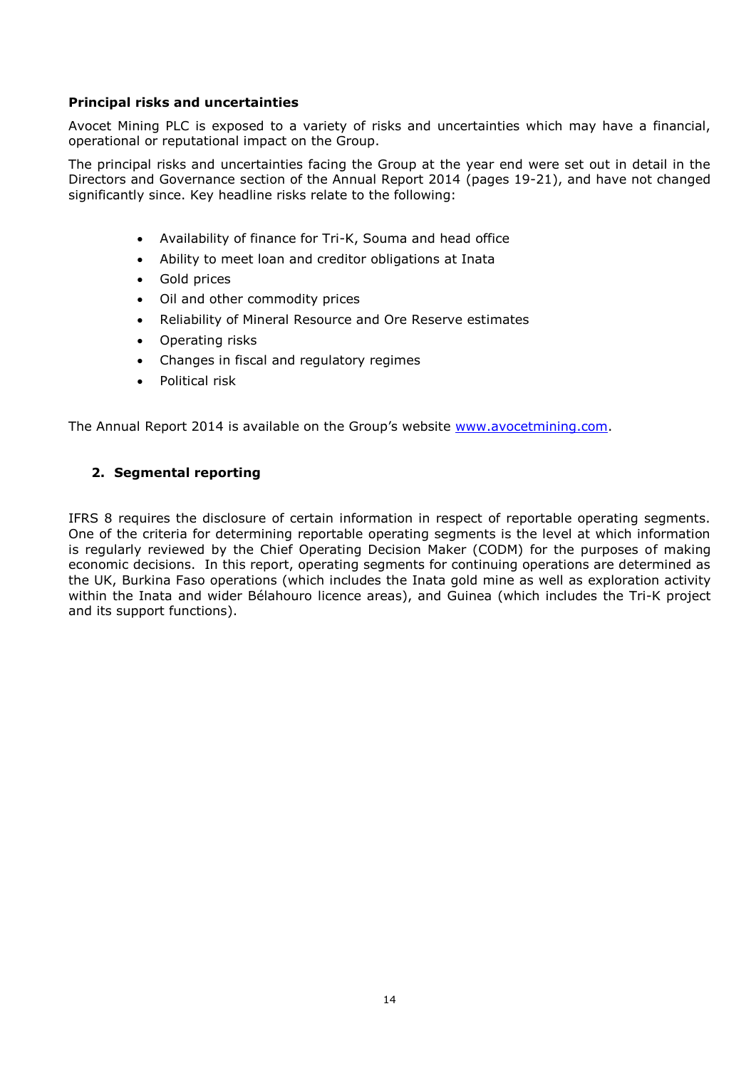### **Principal risks and uncertainties**

Avocet Mining PLC is exposed to a variety of risks and uncertainties which may have a financial, operational or reputational impact on the Group.

The principal risks and uncertainties facing the Group at the year end were set out in detail in the Directors and Governance section of the Annual Report 2014 (pages 19-21), and have not changed significantly since. Key headline risks relate to the following:

- Availability of finance for Tri-K, Souma and head office
- Ability to meet loan and creditor obligations at Inata
- Gold prices
- Oil and other commodity prices
- Reliability of Mineral Resource and Ore Reserve estimates
- Operating risks
- Changes in fiscal and regulatory regimes
- Political risk

The Annual Report 2014 is available on the Group's website [www.avocetmining.com.](http://www.avocetmining.com/)

### **2. Segmental reporting**

IFRS 8 requires the disclosure of certain information in respect of reportable operating segments. One of the criteria for determining reportable operating segments is the level at which information is regularly reviewed by the Chief Operating Decision Maker (CODM) for the purposes of making economic decisions. In this report, operating segments for continuing operations are determined as the UK, Burkina Faso operations (which includes the Inata gold mine as well as exploration activity within the Inata and wider Bélahouro licence areas), and Guinea (which includes the Tri-K project and its support functions).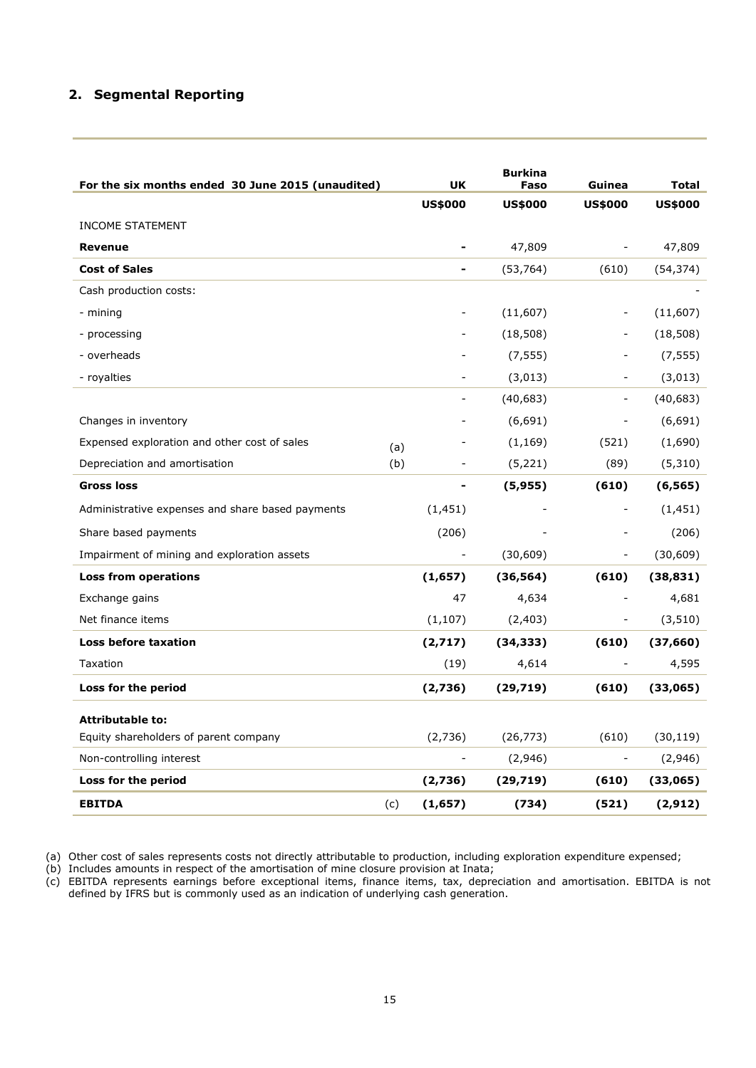## **2. Segmental Reporting**

| For the six months ended 30 June 2015 (unaudited) |     | <b>UK</b>      | <b>Burkina</b><br>Faso | Guinea                   | <b>Total</b>   |
|---------------------------------------------------|-----|----------------|------------------------|--------------------------|----------------|
|                                                   |     | <b>US\$000</b> | <b>US\$000</b>         | <b>US\$000</b>           | <b>US\$000</b> |
| <b>INCOME STATEMENT</b>                           |     |                |                        |                          |                |
| <b>Revenue</b>                                    |     |                | 47,809                 | $\overline{\phantom{a}}$ | 47,809         |
| <b>Cost of Sales</b>                              |     |                | (53, 764)              | (610)                    | (54, 374)      |
| Cash production costs:                            |     |                |                        |                          |                |
| - mining                                          |     |                | (11,607)               | $\blacksquare$           | (11,607)       |
| - processing                                      |     |                | (18, 508)              | $\overline{a}$           | (18, 508)      |
| - overheads                                       |     |                | (7, 555)               |                          | (7, 555)       |
| - royalties                                       |     |                | (3,013)                |                          | (3,013)        |
|                                                   |     |                | (40, 683)              |                          | (40, 683)      |
| Changes in inventory                              |     |                | (6,691)                | $\blacksquare$           | (6, 691)       |
| Expensed exploration and other cost of sales      | (a) |                | (1, 169)               | (521)                    | (1,690)        |
| Depreciation and amortisation                     | (b) |                | (5, 221)               | (89)                     | (5,310)        |
| <b>Gross loss</b>                                 |     |                | (5, 955)               | (610)                    | (6, 565)       |
| Administrative expenses and share based payments  |     | (1, 451)       |                        | $\overline{a}$           | (1, 451)       |
| Share based payments                              |     | (206)          |                        |                          | (206)          |
| Impairment of mining and exploration assets       |     |                | (30,609)               | $\overline{\phantom{a}}$ | (30, 609)      |
| Loss from operations                              |     | (1,657)        | (36, 564)              | (610)                    | (38, 831)      |
| Exchange gains                                    |     | 47             | 4,634                  | $\frac{1}{2}$            | 4,681          |
| Net finance items                                 |     | (1, 107)       | (2,403)                |                          | (3, 510)       |
| Loss before taxation                              |     | (2,717)        | (34, 333)              | (610)                    | (37, 660)      |
| Taxation                                          |     | (19)           | 4,614                  |                          | 4,595          |
| Loss for the period                               |     | (2,736)        | (29, 719)              | (610)                    | (33,065)       |
| <b>Attributable to:</b>                           |     |                |                        |                          |                |
| Equity shareholders of parent company             |     | (2,736)        | (26, 773)              | (610)                    | (30, 119)      |
| Non-controlling interest                          |     |                | (2,946)                | $\overline{\phantom{a}}$ | (2,946)        |
| Loss for the period                               |     | (2,736)        | (29, 719)              | (610)                    | (33,065)       |
| <b>EBITDA</b>                                     | (c) | (1,657)        | (734)                  | (521)                    | (2, 912)       |

(a) Other cost of sales represents costs not directly attributable to production, including exploration expenditure expensed;

(b) Includes amounts in respect of the amortisation of mine closure provision at Inata;

(c) EBITDA represents earnings before exceptional items, finance items, tax, depreciation and amortisation. EBITDA is not defined by IFRS but is commonly used as an indication of underlying cash generation.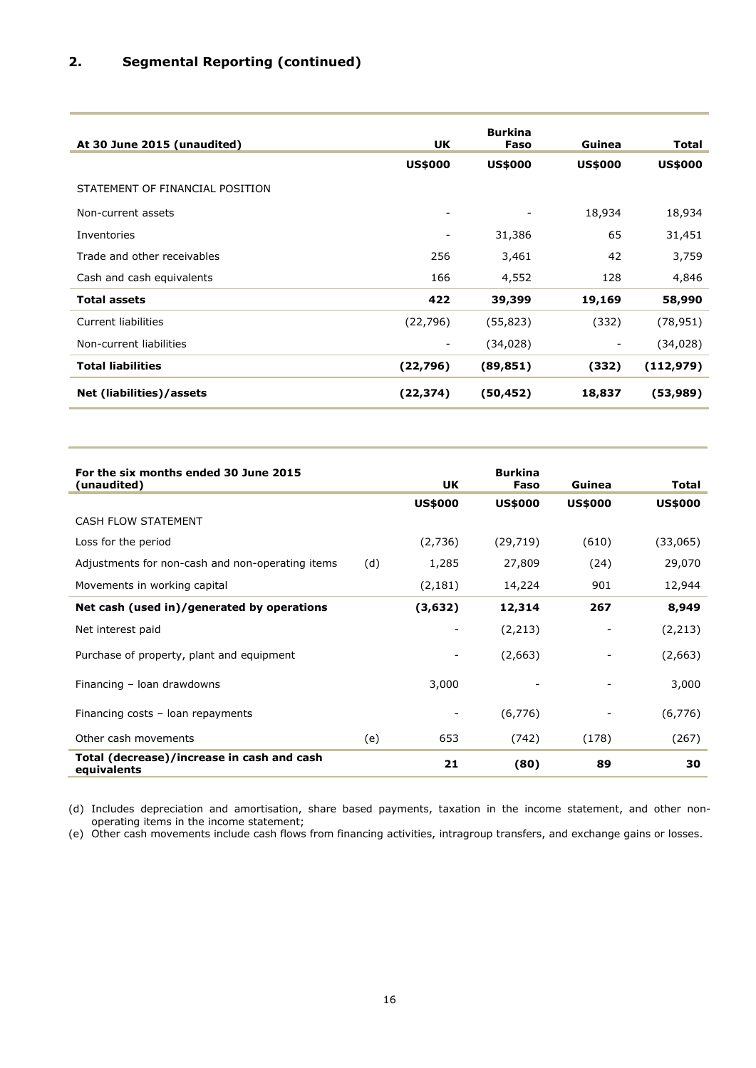## **2. Segmental Reporting (continued)**

| At 30 June 2015 (unaudited)     | <b>UK</b>                | <b>Burkina</b><br>Faso | Guinea         | <b>Total</b>   |
|---------------------------------|--------------------------|------------------------|----------------|----------------|
|                                 | <b>US\$000</b>           | <b>US\$000</b>         | <b>US\$000</b> | <b>US\$000</b> |
| STATEMENT OF FINANCIAL POSITION |                          |                        |                |                |
| Non-current assets              |                          |                        | 18,934         | 18,934         |
| Inventories                     | $\overline{\phantom{a}}$ | 31,386                 | 65             | 31,451         |
| Trade and other receivables     | 256                      | 3,461                  | 42             | 3,759          |
| Cash and cash equivalents       | 166                      | 4,552                  | 128            | 4,846          |
| <b>Total assets</b>             | 422                      | 39,399                 | 19,169         | 58,990         |
| Current liabilities             | (22, 796)                | (55, 823)              | (332)          | (78, 951)      |
| Non-current liabilities         | ۰                        | (34, 028)              | -              | (34, 028)      |
| <b>Total liabilities</b>        | (22,796)                 | (89, 851)              | (332)          | (112, 979)     |
| Net (liabilities)/assets        | (22, 374)                | (50, 452)              | 18,837         | (53,989)       |

| For the six months ended 30 June 2015<br>(unaudited)      |     | UK             | <b>Burkina</b><br>Faso | Guinea                   | <b>Total</b>   |
|-----------------------------------------------------------|-----|----------------|------------------------|--------------------------|----------------|
|                                                           |     | <b>US\$000</b> | <b>US\$000</b>         | <b>US\$000</b>           | <b>US\$000</b> |
| <b>CASH FLOW STATEMENT</b>                                |     |                |                        |                          |                |
| Loss for the period                                       |     | (2,736)        | (29, 719)              | (610)                    | (33,065)       |
| Adjustments for non-cash and non-operating items          | (d) | 1,285          | 27,809                 | (24)                     | 29,070         |
| Movements in working capital                              |     | (2, 181)       | 14,224                 | 901                      | 12,944         |
| Net cash (used in)/generated by operations                |     | (3,632)        | 12,314                 | 267                      | 8,949          |
| Net interest paid                                         |     |                | (2,213)                | $\overline{\phantom{m}}$ | (2,213)        |
| Purchase of property, plant and equipment                 |     |                | (2,663)                |                          | (2,663)        |
| Financing - loan drawdowns                                |     | 3,000          |                        |                          | 3,000          |
| Financing costs - loan repayments                         |     |                | (6, 776)               |                          | (6, 776)       |
| Other cash movements                                      | (e) | 653            | (742)                  | (178)                    | (267)          |
| Total (decrease)/increase in cash and cash<br>equivalents |     | 21             | (80)                   | 89                       | 30             |

(d) Includes depreciation and amortisation, share based payments, taxation in the income statement, and other nonoperating items in the income statement;

(e) Other cash movements include cash flows from financing activities, intragroup transfers, and exchange gains or losses.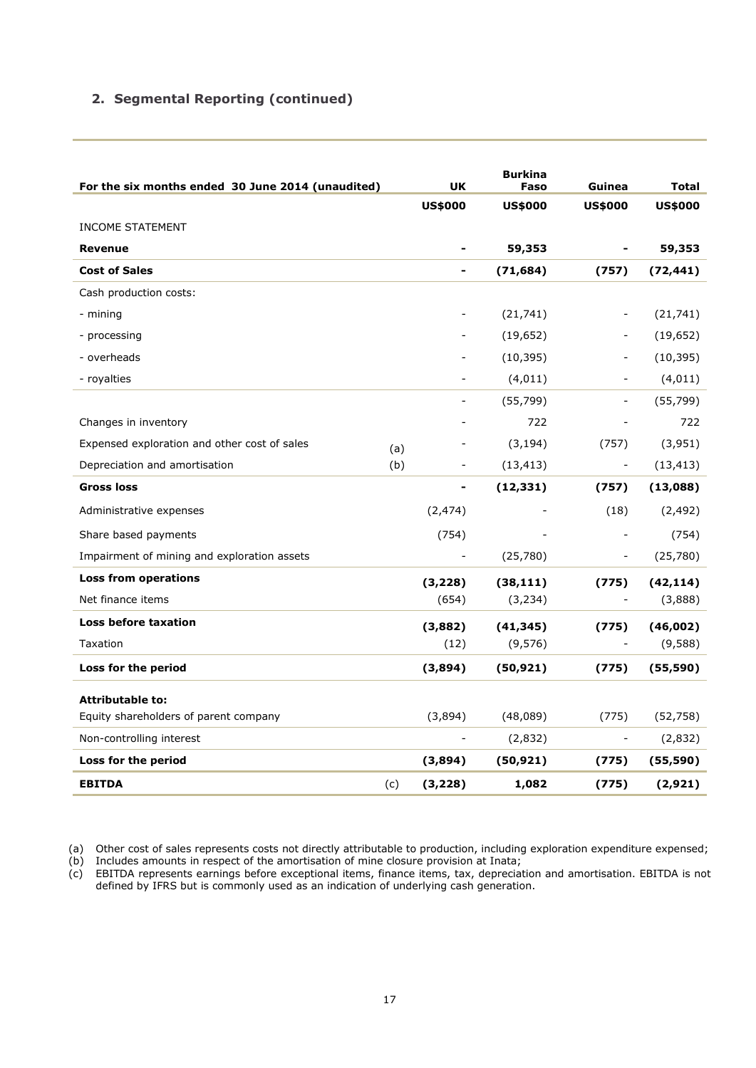## **2. Segmental Reporting (continued)**

| For the six months ended 30 June 2014 (unaudited) |     | UK                       | <b>Burkina</b><br>Faso | Guinea                   | <b>Total</b>   |
|---------------------------------------------------|-----|--------------------------|------------------------|--------------------------|----------------|
|                                                   |     | <b>US\$000</b>           | <b>US\$000</b>         | <b>US\$000</b>           | <b>US\$000</b> |
| <b>INCOME STATEMENT</b>                           |     |                          |                        |                          |                |
| <b>Revenue</b>                                    |     | $\blacksquare$           | 59,353                 | $\blacksquare$           | 59,353         |
| <b>Cost of Sales</b>                              |     | -                        | (71, 684)              | (757)                    | (72,441)       |
| Cash production costs:                            |     |                          |                        |                          |                |
| - mining                                          |     |                          | (21, 741)              | $\overline{\phantom{a}}$ | (21, 741)      |
| - processing                                      |     |                          | (19, 652)              |                          | (19, 652)      |
| - overheads                                       |     |                          | (10, 395)              |                          | (10, 395)      |
| - royalties                                       |     |                          | (4, 011)               |                          | (4, 011)       |
|                                                   |     | -                        | (55, 799)              | $\overline{\phantom{a}}$ | (55, 799)      |
| Changes in inventory                              |     |                          | 722                    |                          | 722            |
| Expensed exploration and other cost of sales      | (a) |                          | (3, 194)               | (757)                    | (3,951)        |
| Depreciation and amortisation                     | (b) |                          | (13, 413)              | $\overline{\phantom{a}}$ | (13, 413)      |
| <b>Gross loss</b>                                 |     | $\blacksquare$           | (12, 331)              | (757)                    | (13,088)       |
| Administrative expenses                           |     | (2, 474)                 |                        | (18)                     | (2, 492)       |
| Share based payments                              |     | (754)                    |                        | $\blacksquare$           | (754)          |
| Impairment of mining and exploration assets       |     |                          | (25,780)               |                          | (25,780)       |
| <b>Loss from operations</b>                       |     | (3, 228)                 | (38, 111)              | (775)                    | (42, 114)      |
| Net finance items                                 |     | (654)                    | (3, 234)               | $\overline{\phantom{a}}$ | (3,888)        |
| Loss before taxation                              |     | (3,882)                  | (41, 345)              | (775)                    | (46,002)       |
| Taxation                                          |     | (12)                     | (9, 576)               | $\overline{\phantom{a}}$ | (9,588)        |
| Loss for the period                               |     | (3,894)                  | (50, 921)              | (775)                    | (55, 590)      |
| <b>Attributable to:</b>                           |     |                          |                        |                          |                |
| Equity shareholders of parent company             |     | (3,894)                  | (48,089)               | (775)                    | (52, 758)      |
| Non-controlling interest                          |     | $\overline{\phantom{a}}$ | (2,832)                | $\overline{\phantom{a}}$ | (2,832)        |
| Loss for the period                               |     | (3,894)                  | (50, 921)              | (775)                    | (55, 590)      |
| <b>EBITDA</b><br>(c)                              |     | (3,228)                  | 1,082                  | (775)                    | (2,921)        |

<sup>(</sup>a) Other cost of sales represents costs not directly attributable to production, including exploration expenditure expensed;

(b) Includes amounts in respect of the amortisation of mine closure provision at Inata;

(c) EBITDA represents earnings before exceptional items, finance items, tax, depreciation and amortisation. EBITDA is not defined by IFRS but is commonly used as an indication of underlying cash generation.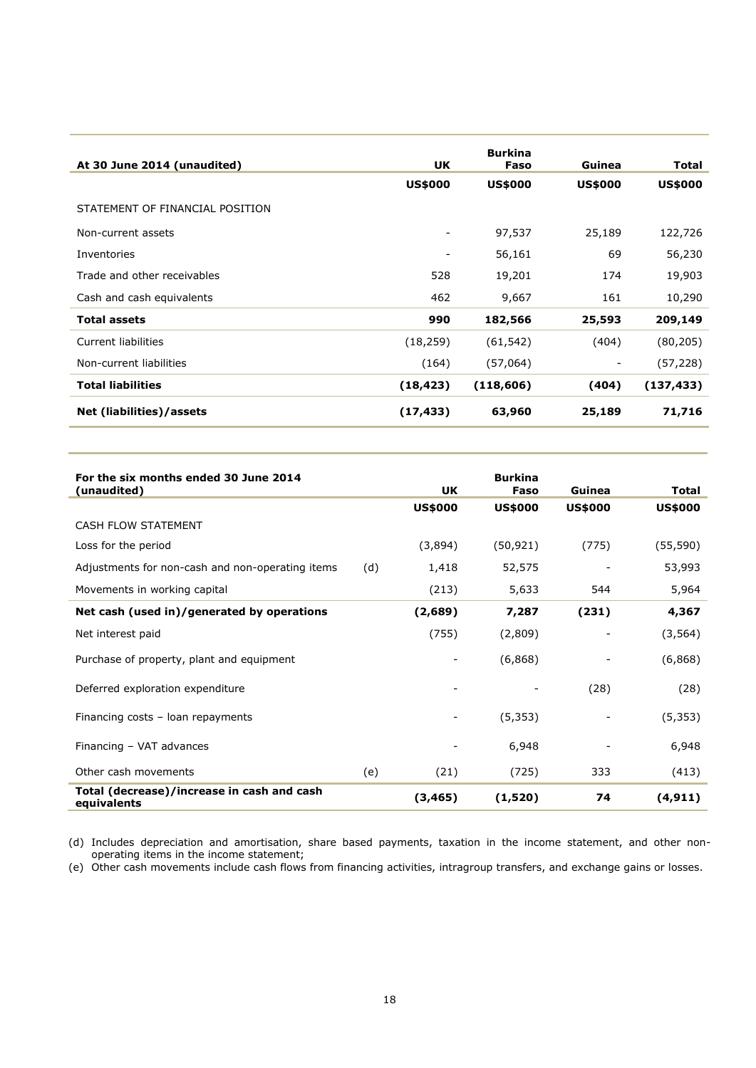| At 30 June 2014 (unaudited)     | <b>UK</b>      | <b>Burkina</b><br>Faso | Guinea         | <b>Total</b>   |
|---------------------------------|----------------|------------------------|----------------|----------------|
|                                 | <b>US\$000</b> | <b>US\$000</b>         | <b>US\$000</b> | <b>US\$000</b> |
| STATEMENT OF FINANCIAL POSITION |                |                        |                |                |
| Non-current assets              |                | 97,537                 | 25,189         | 122,726        |
| Inventories                     |                | 56,161                 | 69             | 56,230         |
| Trade and other receivables     | 528            | 19,201                 | 174            | 19,903         |
| Cash and cash equivalents       | 462            | 9,667                  | 161            | 10,290         |
| <b>Total assets</b>             | 990            | 182,566                | 25,593         | 209,149        |
| <b>Current liabilities</b>      | (18, 259)      | (61, 542)              | (404)          | (80, 205)      |
| Non-current liabilities         | (164)          | (57,064)               |                | (57,228)       |
| <b>Total liabilities</b>        | (18, 423)      | (118, 606)             | (404)          | (137, 433)     |
| Net (liabilities)/assets        | (17, 433)      | 63,960                 | 25,189         | 71,716         |

| For the six months ended 30 June 2014<br>(unaudited)      |     | <b>UK</b>      | <b>Burkina</b><br>Faso | Guinea         | Total          |
|-----------------------------------------------------------|-----|----------------|------------------------|----------------|----------------|
|                                                           |     | <b>US\$000</b> | <b>US\$000</b>         | <b>US\$000</b> | <b>US\$000</b> |
| <b>CASH FLOW STATEMENT</b>                                |     |                |                        |                |                |
| Loss for the period                                       |     | (3,894)        | (50, 921)              | (775)          | (55, 590)      |
| Adjustments for non-cash and non-operating items          | (d) | 1,418          | 52,575                 |                | 53,993         |
| Movements in working capital                              |     | (213)          | 5,633                  | 544            | 5,964          |
| Net cash (used in)/generated by operations                |     | (2,689)        | 7,287                  | (231)          | 4,367          |
| Net interest paid                                         |     | (755)          | (2,809)                |                | (3, 564)       |
| Purchase of property, plant and equipment                 |     | -              | (6,868)                |                | (6,868)        |
| Deferred exploration expenditure                          |     |                |                        | (28)           | (28)           |
| Financing costs - loan repayments                         |     |                | (5, 353)               |                | (5, 353)       |
| Financing - VAT advances                                  |     |                | 6,948                  |                | 6,948          |
| Other cash movements                                      | (e) | (21)           | (725)                  | 333            | (413)          |
| Total (decrease)/increase in cash and cash<br>equivalents |     | (3, 465)       | (1,520)                | 74             | (4, 911)       |

(d) Includes depreciation and amortisation, share based payments, taxation in the income statement, and other nonoperating items in the income statement;

(e) Other cash movements include cash flows from financing activities, intragroup transfers, and exchange gains or losses.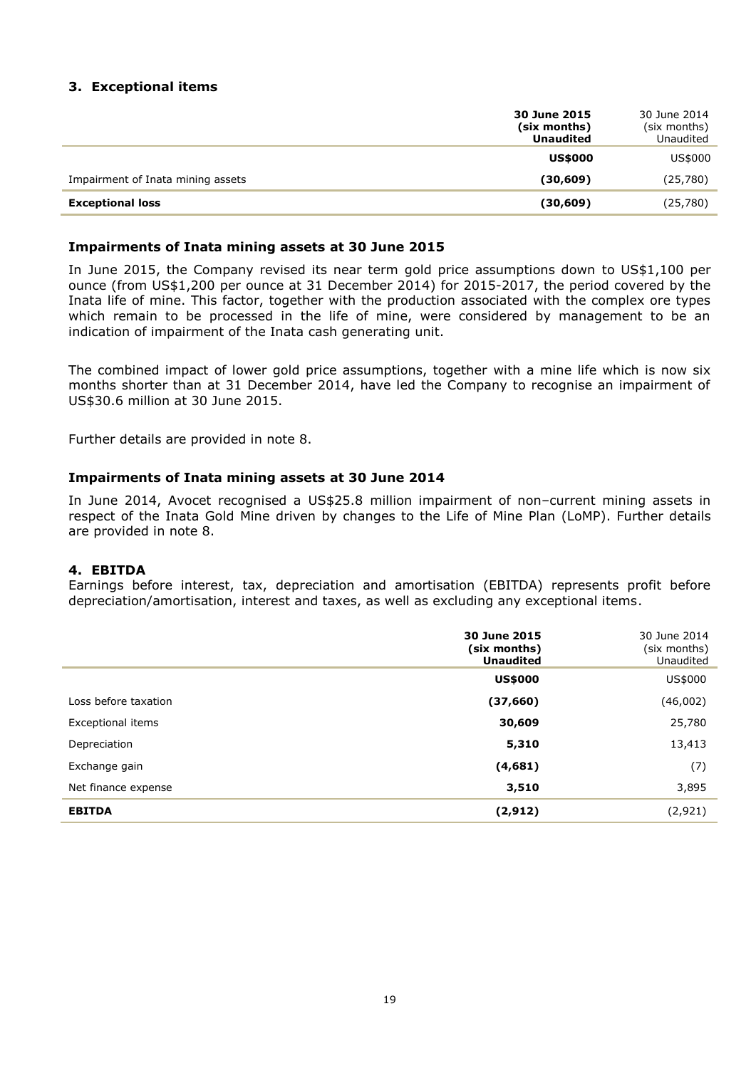## **3. Exceptional items**

|                                   | 30 June 2015<br>(six months)<br><b>Unaudited</b> | 30 June 2014<br>(six months)<br>Unaudited |
|-----------------------------------|--------------------------------------------------|-------------------------------------------|
|                                   | <b>US\$000</b>                                   | US\$000                                   |
| Impairment of Inata mining assets | (30, 609)                                        | (25,780)                                  |
| <b>Exceptional loss</b>           | (30, 609)                                        | (25,780)                                  |

#### **Impairments of Inata mining assets at 30 June 2015**

In June 2015, the Company revised its near term gold price assumptions down to US\$1,100 per ounce (from US\$1,200 per ounce at 31 December 2014) for 2015-2017, the period covered by the Inata life of mine. This factor, together with the production associated with the complex ore types which remain to be processed in the life of mine, were considered by management to be an indication of impairment of the Inata cash generating unit.

The combined impact of lower gold price assumptions, together with a mine life which is now six months shorter than at 31 December 2014, have led the Company to recognise an impairment of US\$30.6 million at 30 June 2015.

Further details are provided in note 8.

#### **Impairments of Inata mining assets at 30 June 2014**

In June 2014, Avocet recognised a US\$25.8 million impairment of non–current mining assets in respect of the Inata Gold Mine driven by changes to the Life of Mine Plan (LoMP). Further details are provided in note 8.

#### **4. EBITDA**

Earnings before interest, tax, depreciation and amortisation (EBITDA) represents profit before depreciation/amortisation, interest and taxes, as well as excluding any exceptional items.

|                      | 30 June 2015<br>(six months)<br><b>Unaudited</b> | 30 June 2014<br>(six months)<br>Unaudited |
|----------------------|--------------------------------------------------|-------------------------------------------|
|                      | <b>US\$000</b>                                   | US\$000                                   |
| Loss before taxation | (37, 660)                                        | (46,002)                                  |
| Exceptional items    | 30,609                                           | 25,780                                    |
| Depreciation         | 5,310                                            | 13,413                                    |
| Exchange gain        | (4,681)                                          | (7)                                       |
| Net finance expense  | 3,510                                            | 3,895                                     |
| <b>EBITDA</b>        | (2, 912)                                         | (2,921)                                   |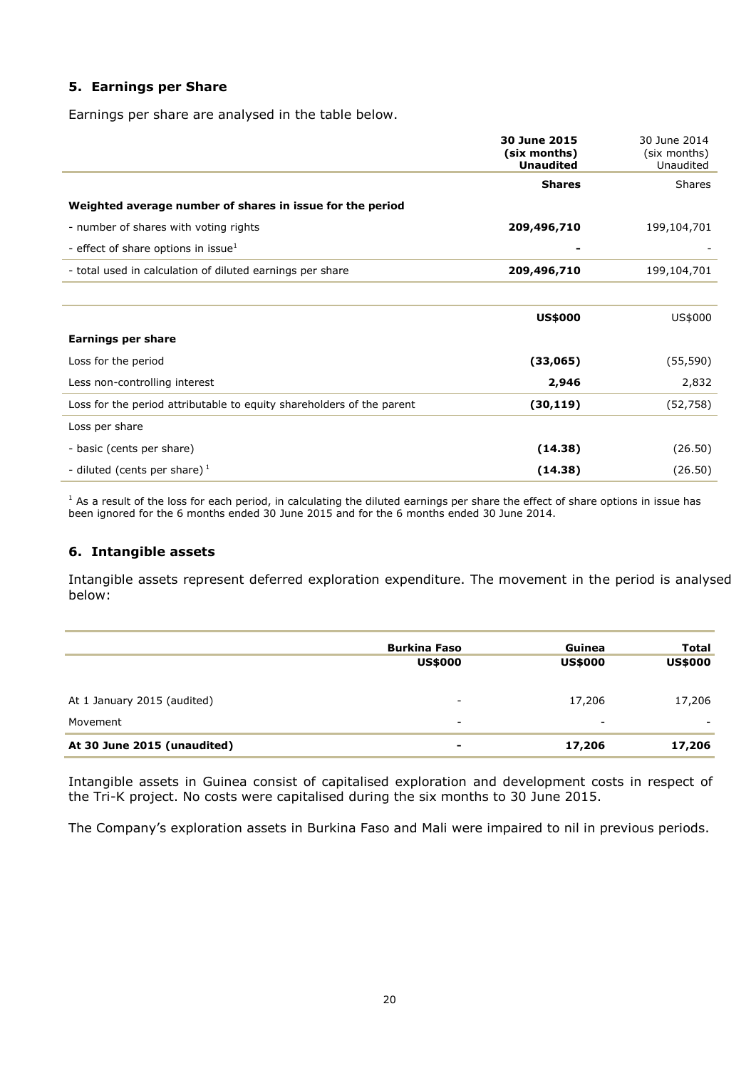## **5. Earnings per Share**

Earnings per share are analysed in the table below.

|                                                                       | 30 June 2015<br>(six months)<br><b>Unaudited</b> | 30 June 2014<br>(six months)<br>Unaudited |
|-----------------------------------------------------------------------|--------------------------------------------------|-------------------------------------------|
|                                                                       | <b>Shares</b>                                    | Shares                                    |
| Weighted average number of shares in issue for the period             |                                                  |                                           |
| - number of shares with voting rights                                 | 209,496,710                                      | 199,104,701                               |
| - effect of share options in issue $^1$                               |                                                  |                                           |
| - total used in calculation of diluted earnings per share             | 209,496,710                                      | 199,104,701                               |
|                                                                       |                                                  |                                           |
|                                                                       | <b>US\$000</b>                                   | US\$000                                   |
| Earnings per share                                                    |                                                  |                                           |
| Loss for the period                                                   | (33,065)                                         | (55, 590)                                 |
| Less non-controlling interest                                         | 2,946                                            | 2,832                                     |
| Loss for the period attributable to equity shareholders of the parent | (30, 119)                                        | (52, 758)                                 |
| Loss per share                                                        |                                                  |                                           |
| - basic (cents per share)                                             | (14.38)                                          | (26.50)                                   |
| - diluted (cents per share) $1$                                       | (14.38)                                          | (26.50)                                   |

<sup>1</sup> As a result of the loss for each period, in calculating the diluted earnings per share the effect of share options in issue has been ignored for the 6 months ended 30 June 2015 and for the 6 months ended 30 June 2014.

#### **6. Intangible assets**

Intangible assets represent deferred exploration expenditure. The movement in the period is analysed below:

|                             | <b>Burkina Faso</b><br><b>US\$000</b> | Guinea<br><b>US\$000</b> | <b>Total</b><br><b>US\$000</b> |
|-----------------------------|---------------------------------------|--------------------------|--------------------------------|
| At 1 January 2015 (audited) | $\overline{\phantom{a}}$              | 17,206                   | 17,206                         |
| Movement                    | $\overline{\phantom{a}}$              | $\overline{\phantom{a}}$ |                                |
| At 30 June 2015 (unaudited) | $\blacksquare$                        | 17,206                   | 17,206                         |

Intangible assets in Guinea consist of capitalised exploration and development costs in respect of the Tri-K project. No costs were capitalised during the six months to 30 June 2015.

The Company's exploration assets in Burkina Faso and Mali were impaired to nil in previous periods.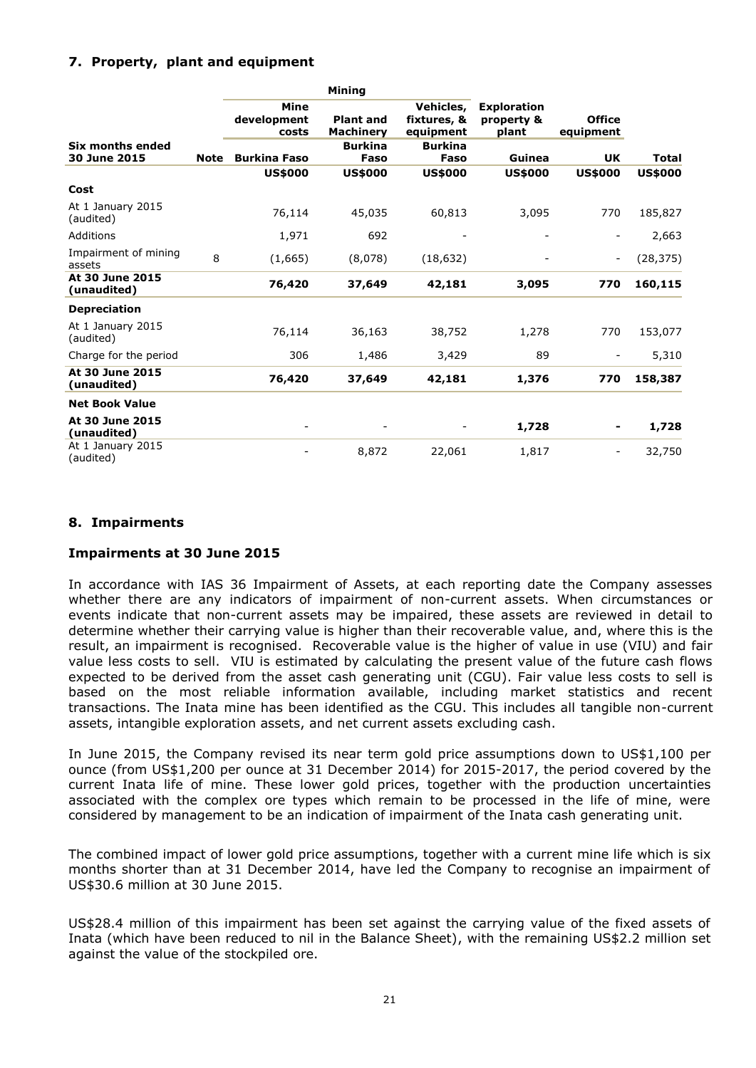### **7. Property, plant and equipment**

|                                |             |                              | Mining                               |                                       |                                           |                            |                |
|--------------------------------|-------------|------------------------------|--------------------------------------|---------------------------------------|-------------------------------------------|----------------------------|----------------|
|                                |             | Mine<br>development<br>costs | <b>Plant and</b><br><b>Machinery</b> | Vehicles,<br>fixtures, &<br>equipment | <b>Exploration</b><br>property &<br>plant | <b>Office</b><br>equipment |                |
| Six months ended               |             |                              | <b>Burkina</b>                       | <b>Burkina</b>                        |                                           |                            |                |
| 30 June 2015                   | <b>Note</b> | <b>Burkina Faso</b>          | Faso                                 | Faso                                  | Guinea                                    | <b>UK</b>                  | <b>Total</b>   |
|                                |             | <b>US\$000</b>               | <b>US\$000</b>                       | <b>US\$000</b>                        | <b>US\$000</b>                            | <b>US\$000</b>             | <b>US\$000</b> |
| Cost                           |             |                              |                                      |                                       |                                           |                            |                |
| At 1 January 2015<br>(audited) |             | 76,114                       | 45,035                               | 60,813                                | 3,095                                     | 770                        | 185,827        |
| Additions                      |             | 1,971                        | 692                                  |                                       |                                           |                            | 2,663          |
| Impairment of mining<br>assets | 8           | (1,665)                      | (8,078)                              | (18, 632)                             |                                           | $\overline{\phantom{a}}$   | (28, 375)      |
| At 30 June 2015<br>(unaudited) |             | 76,420                       | 37,649                               | 42,181                                | 3,095                                     | 770                        | 160,115        |
| <b>Depreciation</b>            |             |                              |                                      |                                       |                                           |                            |                |
| At 1 January 2015<br>(audited) |             | 76,114                       | 36,163                               | 38,752                                | 1,278                                     | 770                        | 153,077        |
| Charge for the period          |             | 306                          | 1,486                                | 3,429                                 | 89                                        |                            | 5,310          |
| At 30 June 2015<br>(unaudited) |             | 76,420                       | 37,649                               | 42,181                                | 1,376                                     | 770                        | 158,387        |
| <b>Net Book Value</b>          |             |                              |                                      |                                       |                                           |                            |                |
| At 30 June 2015<br>(unaudited) |             |                              |                                      |                                       | 1,728                                     | -                          | 1,728          |
| At 1 January 2015<br>(audited) |             |                              | 8,872                                | 22,061                                | 1,817                                     | $\overline{\phantom{a}}$   | 32,750         |

### **8. Impairments**

#### **Impairments at 30 June 2015**

In accordance with IAS 36 Impairment of Assets, at each reporting date the Company assesses whether there are any indicators of impairment of non-current assets. When circumstances or events indicate that non-current assets may be impaired, these assets are reviewed in detail to determine whether their carrying value is higher than their recoverable value, and, where this is the result, an impairment is recognised. Recoverable value is the higher of value in use (VIU) and fair value less costs to sell. VIU is estimated by calculating the present value of the future cash flows expected to be derived from the asset cash generating unit (CGU). Fair value less costs to sell is based on the most reliable information available, including market statistics and recent transactions. The Inata mine has been identified as the CGU. This includes all tangible non-current assets, intangible exploration assets, and net current assets excluding cash.

In June 2015, the Company revised its near term gold price assumptions down to US\$1,100 per ounce (from US\$1,200 per ounce at 31 December 2014) for 2015-2017, the period covered by the current Inata life of mine. These lower gold prices, together with the production uncertainties associated with the complex ore types which remain to be processed in the life of mine, were considered by management to be an indication of impairment of the Inata cash generating unit.

The combined impact of lower gold price assumptions, together with a current mine life which is six months shorter than at 31 December 2014, have led the Company to recognise an impairment of US\$30.6 million at 30 June 2015.

US\$28.4 million of this impairment has been set against the carrying value of the fixed assets of Inata (which have been reduced to nil in the Balance Sheet), with the remaining US\$2.2 million set against the value of the stockpiled ore.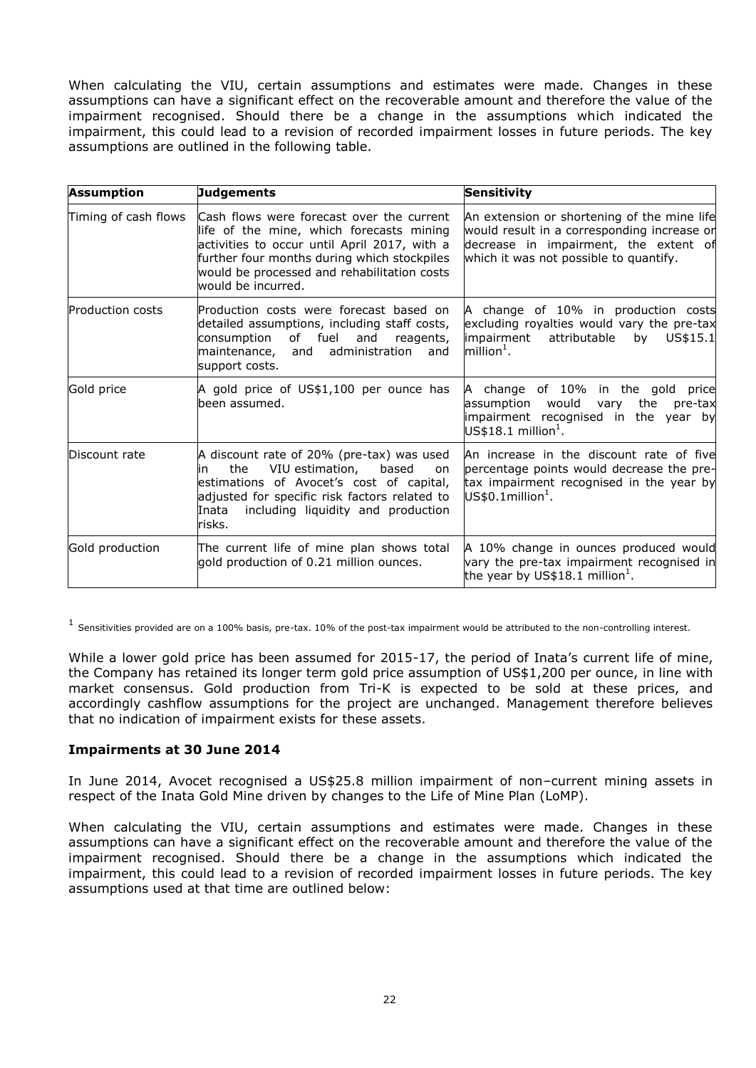When calculating the VIU, certain assumptions and estimates were made. Changes in these assumptions can have a significant effect on the recoverable amount and therefore the value of the impairment recognised. Should there be a change in the assumptions which indicated the impairment, this could lead to a revision of recorded impairment losses in future periods. The key assumptions are outlined in the following table.

| <b>Assumption</b>       | Judgements                                                                                                                                                                                                                                                | <b>Sensitivity</b>                                                                                                                                                            |
|-------------------------|-----------------------------------------------------------------------------------------------------------------------------------------------------------------------------------------------------------------------------------------------------------|-------------------------------------------------------------------------------------------------------------------------------------------------------------------------------|
| Timing of cash flows    | Cash flows were forecast over the current<br>life of the mine, which forecasts mining<br>activities to occur until April 2017, with a<br>further four months during which stockpiles<br>would be processed and rehabilitation costs<br>would be incurred. | An extension or shortening of the mine life<br>would result in a corresponding increase or<br>decrease in impairment, the extent of<br>which it was not possible to quantify. |
| <b>Production costs</b> | Production costs were forecast based on<br>detailed assumptions, including staff costs,<br>consumption<br>of fuel<br>and<br>reagents,<br>maintenance,<br>administration<br>and<br>and<br>support costs.                                                   | A change of 10% in production costs<br>excluding royalties would vary the pre-tax<br>impairment<br>attributable<br>US\$15.1<br>by<br>$m$ illion $^1$ .                        |
| Gold price              | A gold price of US\$1,100 per ounce has<br>been assumed.                                                                                                                                                                                                  | change of 10% in the gold price<br>A<br>would<br>the<br>assumption<br>vary<br>pre-tax<br>impairment recognised in the year by<br>$US$18.1$ million <sup>1</sup> .             |
| Discount rate           | A discount rate of 20% (pre-tax) was used<br>VIU estimation,<br>the<br>based<br>in<br><sub>on</sub><br>estimations of Avocet's cost of capital,<br>adjusted for specific risk factors related to<br>including liquidity and production<br>Inata<br>risks. | An increase in the discount rate of five<br>percentage points would decrease the pre-<br>tax impairment recognised in the year by<br>$US$0.1$ million <sup>1</sup> .          |
| Gold production         | The current life of mine plan shows total<br>gold production of 0.21 million ounces.                                                                                                                                                                      | A 10% change in ounces produced would<br>vary the pre-tax impairment recognised in<br>the year by US\$18.1 million <sup>1</sup> .                                             |

 $^1$  Sensitivities provided are on a 100% basis, pre-tax. 10% of the post-tax impairment would be attributed to the non-controlling interest.

While a lower gold price has been assumed for 2015-17, the period of Inata's current life of mine, the Company has retained its longer term gold price assumption of US\$1,200 per ounce, in line with market consensus. Gold production from Tri-K is expected to be sold at these prices, and accordingly cashflow assumptions for the project are unchanged. Management therefore believes that no indication of impairment exists for these assets.

#### **Impairments at 30 June 2014**

In June 2014, Avocet recognised a US\$25.8 million impairment of non–current mining assets in respect of the Inata Gold Mine driven by changes to the Life of Mine Plan (LoMP).

When calculating the VIU, certain assumptions and estimates were made. Changes in these assumptions can have a significant effect on the recoverable amount and therefore the value of the impairment recognised. Should there be a change in the assumptions which indicated the impairment, this could lead to a revision of recorded impairment losses in future periods. The key assumptions used at that time are outlined below: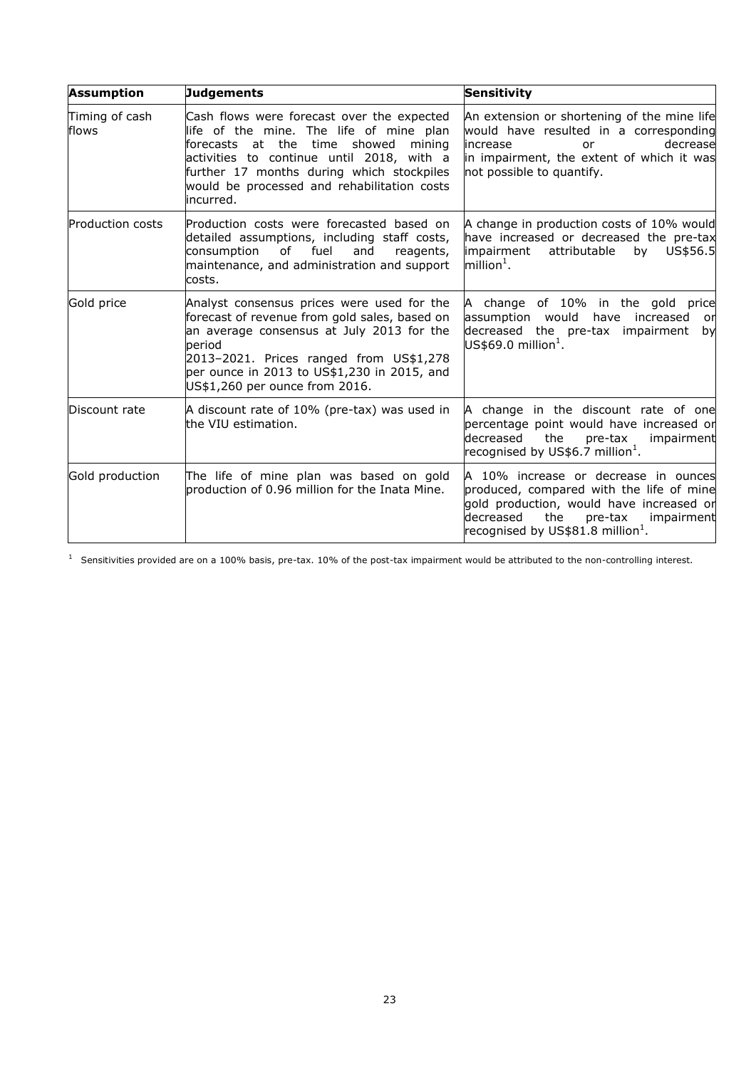| <b>Assumption</b>       | <b>Judgements</b>                                                                                                                                                                                                                                                                  | <b>Sensitivity</b>                                                                                                                                                                                                 |
|-------------------------|------------------------------------------------------------------------------------------------------------------------------------------------------------------------------------------------------------------------------------------------------------------------------------|--------------------------------------------------------------------------------------------------------------------------------------------------------------------------------------------------------------------|
| Timing of cash<br>flows | Cash flows were forecast over the expected<br>life of the mine. The life of mine plan<br>forecasts at the time showed mining<br>activities to continue until 2018, with a<br>further 17 months during which stockpiles<br>would be processed and rehabilitation costs<br>incurred. | An extension or shortening of the mine life<br>would have resulted in a corresponding<br>decrease<br>lincrease<br>or<br>in impairment, the extent of which it was<br>not possible to quantify.                     |
| <b>Production costs</b> | Production costs were forecasted based on<br>detailed assumptions, including staff costs,<br>consumption<br>of fuel<br>and<br>reagents,<br>maintenance, and administration and support<br>costs.                                                                                   | A change in production costs of 10% would<br>have increased or decreased the pre-tax<br>impairment<br>by<br>attributable<br>US\$56.5<br>million $^1$ .                                                             |
| Gold price              | Analyst consensus prices were used for the<br>forecast of revenue from gold sales, based on<br>an average consensus at July 2013 for the<br>period<br>2013-2021. Prices ranged from US\$1,278<br>per ounce in 2013 to US\$1,230 in 2015, and<br>US\$1,260 per ounce from 2016.     | A change of 10% in the gold price<br>assumption would<br>have increased<br>or<br>decreased the pre-tax impairment<br>by<br>US\$69.0 million $^1$ .                                                                 |
| Discount rate           | A discount rate of 10% (pre-tax) was used in<br>the VIU estimation.                                                                                                                                                                                                                | A change in the discount rate of one<br>percentage point would have increased or<br>decreased<br>the<br>pre-tax<br>impairment<br>recognised by US\$6.7 million $^1$ .                                              |
| Gold production         | The life of mine plan was based on gold<br>production of 0.96 million for the Inata Mine.                                                                                                                                                                                          | A 10% increase or decrease in ounces<br>produced, compared with the life of mine<br>gold production, would have increased or<br>decreased<br>the<br>pre-tax<br>impairment<br>recognised by US\$81.8 million $^1$ . |

 $1$  Sensitivities provided are on a 100% basis, pre-tax. 10% of the post-tax impairment would be attributed to the non-controlling interest.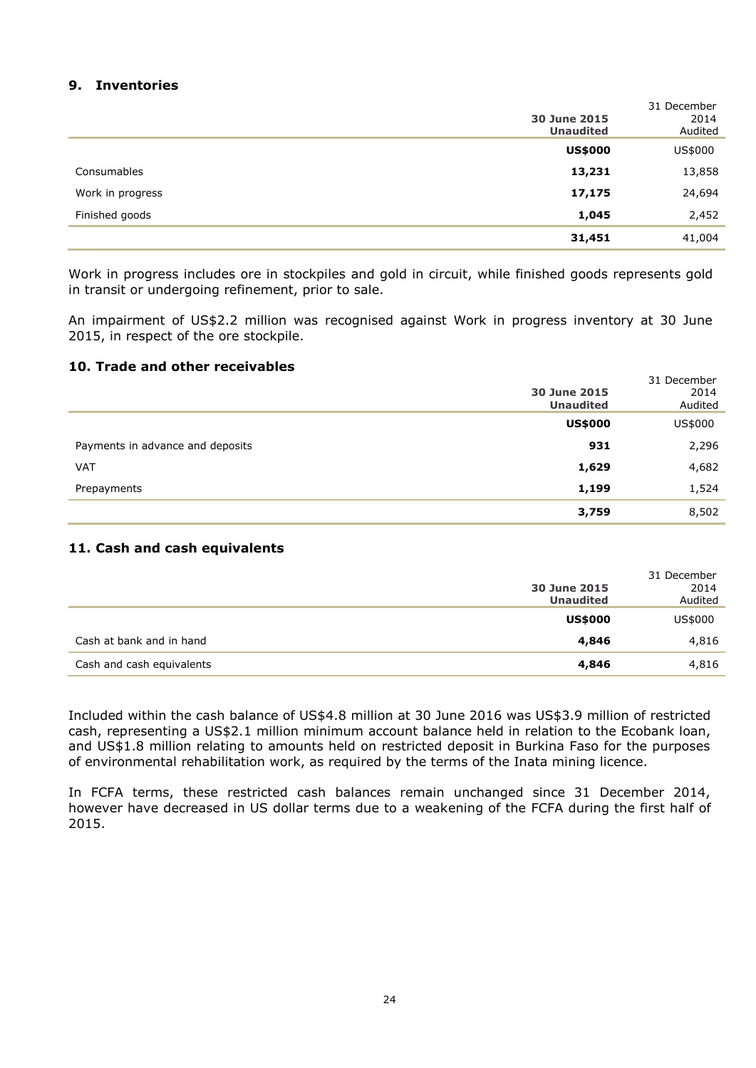## **9. Inventories**

|                  | 30 June 2015<br><b>Unaudited</b> | 31 December<br>2014<br>Audited |
|------------------|----------------------------------|--------------------------------|
|                  | <b>US\$000</b>                   | US\$000                        |
| Consumables      | 13,231                           | 13,858                         |
| Work in progress | 17,175                           | 24,694                         |
| Finished goods   | 1,045                            | 2,452                          |
|                  | 31,451                           | 41,004                         |

Work in progress includes ore in stockpiles and gold in circuit, while finished goods represents gold in transit or undergoing refinement, prior to sale.

An impairment of US\$2.2 million was recognised against Work in progress inventory at 30 June 2015, in respect of the ore stockpile.

#### **10. Trade and other receivables**

|                                  | 30 June 2015     | 31 December<br>2014 |
|----------------------------------|------------------|---------------------|
|                                  | <b>Unaudited</b> | Audited             |
|                                  | <b>US\$000</b>   | US\$000             |
| Payments in advance and deposits | 931              | 2,296               |
| <b>VAT</b>                       | 1,629            | 4,682               |
| Prepayments                      | 1,199            | 1,524               |
|                                  | 3,759            | 8,502               |

#### **11. Cash and cash equivalents**

|                           | 30 June 2015<br><b>Unaudited</b> | 31 December<br>2014<br>Audited |
|---------------------------|----------------------------------|--------------------------------|
|                           | <b>US\$000</b>                   | US\$000                        |
| Cash at bank and in hand  | 4,846                            | 4,816                          |
| Cash and cash equivalents | 4,846                            | 4,816                          |

Included within the cash balance of US\$4.8 million at 30 June 2016 was US\$3.9 million of restricted cash, representing a US\$2.1 million minimum account balance held in relation to the Ecobank loan, and US\$1.8 million relating to amounts held on restricted deposit in Burkina Faso for the purposes of environmental rehabilitation work, as required by the terms of the Inata mining licence.

In FCFA terms, these restricted cash balances remain unchanged since 31 December 2014, however have decreased in US dollar terms due to a weakening of the FCFA during the first half of 2015.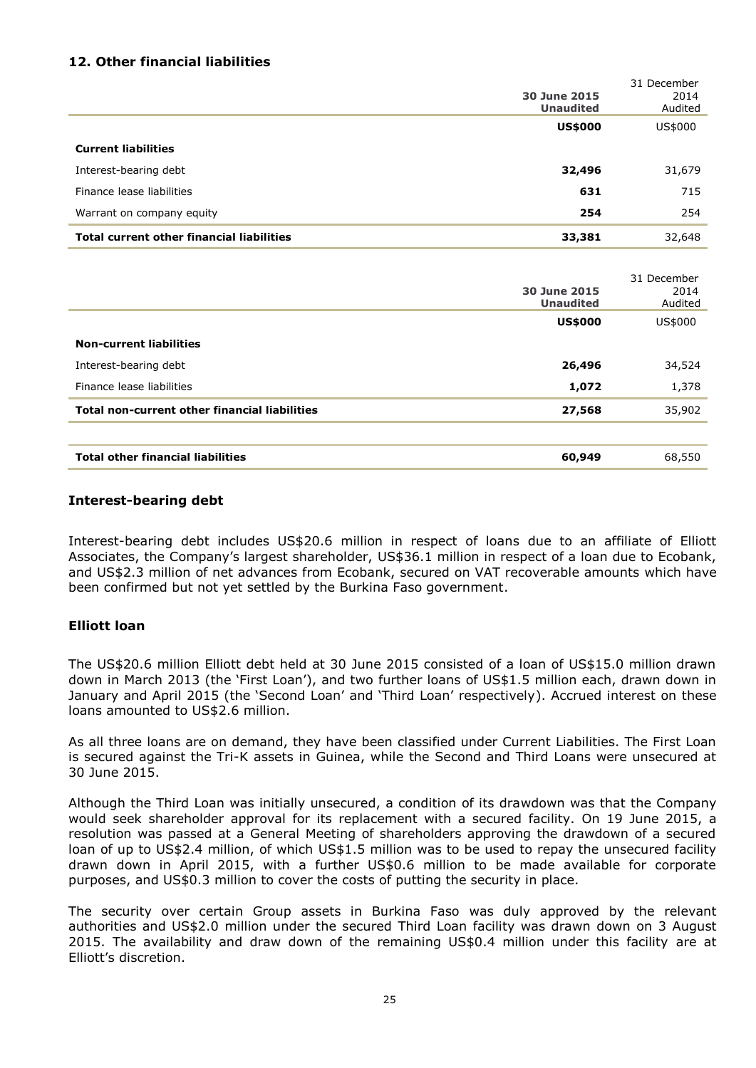## **12. Other financial liabilities**

|                                                  | 30 June 2015<br><b>Unaudited</b> | 31 December<br>2014<br>Audited |
|--------------------------------------------------|----------------------------------|--------------------------------|
|                                                  | <b>US\$000</b>                   | US\$000                        |
| <b>Current liabilities</b>                       |                                  |                                |
| Interest-bearing debt                            | 32,496                           | 31,679                         |
| Finance lease liabilities                        | 631                              | 715                            |
| Warrant on company equity                        | 254                              | 254                            |
| <b>Total current other financial liabilities</b> | 33,381                           | 32,648                         |

|                                                      |                  | 31 December |
|------------------------------------------------------|------------------|-------------|
|                                                      | 30 June 2015     | 2014        |
|                                                      | <b>Unaudited</b> | Audited     |
|                                                      | <b>US\$000</b>   | US\$000     |
| <b>Non-current liabilities</b>                       |                  |             |
| Interest-bearing debt                                | 26,496           | 34,524      |
| Finance lease liabilities                            | 1,072            | 1,378       |
| <b>Total non-current other financial liabilities</b> | 27,568           | 35,902      |
|                                                      |                  |             |
| <b>Total other financial liabilities</b>             | 60,949           | 68,550      |
|                                                      |                  |             |

#### **Interest-bearing debt**

Interest-bearing debt includes US\$20.6 million in respect of loans due to an affiliate of Elliott Associates, the Company's largest shareholder, US\$36.1 million in respect of a loan due to Ecobank, and US\$2.3 million of net advances from Ecobank, secured on VAT recoverable amounts which have been confirmed but not yet settled by the Burkina Faso government.

#### **Elliott loan**

The US\$20.6 million Elliott debt held at 30 June 2015 consisted of a loan of US\$15.0 million drawn down in March 2013 (the 'First Loan'), and two further loans of US\$1.5 million each, drawn down in January and April 2015 (the 'Second Loan' and 'Third Loan' respectively). Accrued interest on these loans amounted to US\$2.6 million.

As all three loans are on demand, they have been classified under Current Liabilities. The First Loan is secured against the Tri-K assets in Guinea, while the Second and Third Loans were unsecured at 30 June 2015.

Although the Third Loan was initially unsecured, a condition of its drawdown was that the Company would seek shareholder approval for its replacement with a secured facility. On 19 June 2015, a resolution was passed at a General Meeting of shareholders approving the drawdown of a secured loan of up to US\$2.4 million, of which US\$1.5 million was to be used to repay the unsecured facility drawn down in April 2015, with a further US\$0.6 million to be made available for corporate purposes, and US\$0.3 million to cover the costs of putting the security in place.

The security over certain Group assets in Burkina Faso was duly approved by the relevant authorities and US\$2.0 million under the secured Third Loan facility was drawn down on 3 August 2015. The availability and draw down of the remaining US\$0.4 million under this facility are at Elliott's discretion.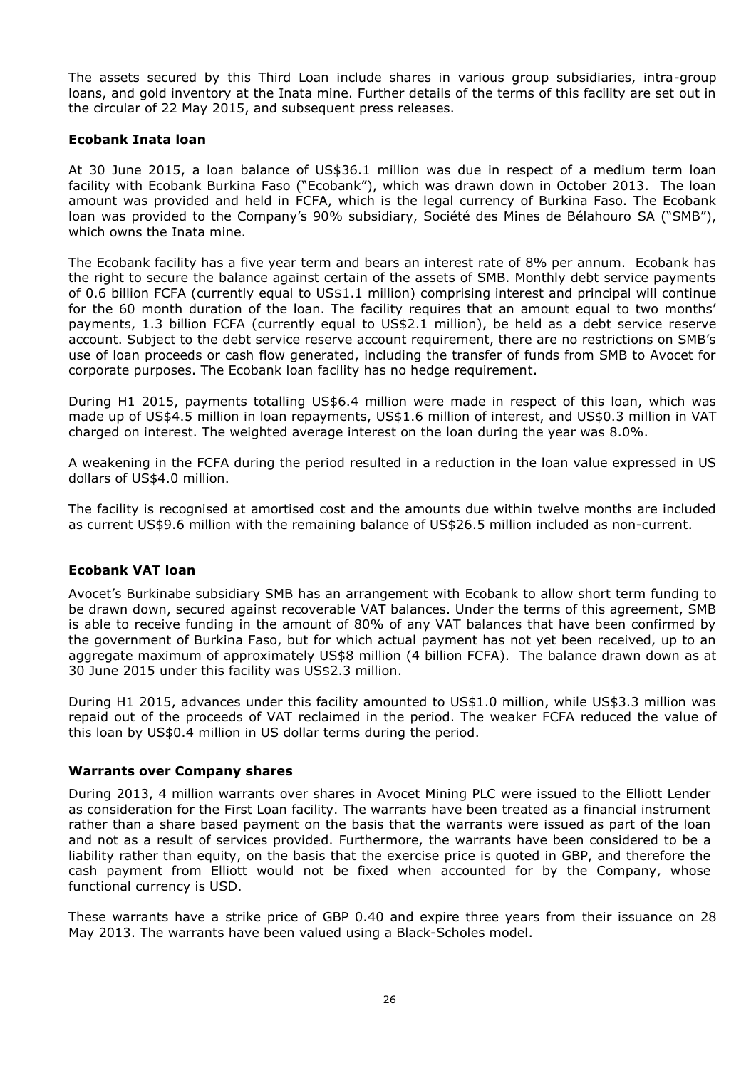The assets secured by this Third Loan include shares in various group subsidiaries, intra-group loans, and gold inventory at the Inata mine. Further details of the terms of this facility are set out in the circular of 22 May 2015, and subsequent press releases.

#### **Ecobank Inata loan**

At 30 June 2015, a loan balance of US\$36.1 million was due in respect of a medium term loan facility with Ecobank Burkina Faso ("Ecobank"), which was drawn down in October 2013. The loan amount was provided and held in FCFA, which is the legal currency of Burkina Faso. The Ecobank loan was provided to the Company's 90% subsidiary, Société des Mines de Bélahouro SA ("SMB"), which owns the Inata mine.

The Ecobank facility has a five year term and bears an interest rate of 8% per annum. Ecobank has the right to secure the balance against certain of the assets of SMB. Monthly debt service payments of 0.6 billion FCFA (currently equal to US\$1.1 million) comprising interest and principal will continue for the 60 month duration of the loan. The facility requires that an amount equal to two months' payments, 1.3 billion FCFA (currently equal to US\$2.1 million), be held as a debt service reserve account. Subject to the debt service reserve account requirement, there are no restrictions on SMB's use of loan proceeds or cash flow generated, including the transfer of funds from SMB to Avocet for corporate purposes. The Ecobank loan facility has no hedge requirement.

During H1 2015, payments totalling US\$6.4 million were made in respect of this loan, which was made up of US\$4.5 million in loan repayments, US\$1.6 million of interest, and US\$0.3 million in VAT charged on interest. The weighted average interest on the loan during the year was 8.0%.

A weakening in the FCFA during the period resulted in a reduction in the loan value expressed in US dollars of US\$4.0 million.

The facility is recognised at amortised cost and the amounts due within twelve months are included as current US\$9.6 million with the remaining balance of US\$26.5 million included as non-current.

#### **Ecobank VAT loan**

Avocet's Burkinabe subsidiary SMB has an arrangement with Ecobank to allow short term funding to be drawn down, secured against recoverable VAT balances. Under the terms of this agreement, SMB is able to receive funding in the amount of 80% of any VAT balances that have been confirmed by the government of Burkina Faso, but for which actual payment has not yet been received, up to an aggregate maximum of approximately US\$8 million (4 billion FCFA). The balance drawn down as at 30 June 2015 under this facility was US\$2.3 million.

During H1 2015, advances under this facility amounted to US\$1.0 million, while US\$3.3 million was repaid out of the proceeds of VAT reclaimed in the period. The weaker FCFA reduced the value of this loan by US\$0.4 million in US dollar terms during the period.

#### **Warrants over Company shares**

During 2013, 4 million warrants over shares in Avocet Mining PLC were issued to the Elliott Lender as consideration for the First Loan facility. The warrants have been treated as a financial instrument rather than a share based payment on the basis that the warrants were issued as part of the loan and not as a result of services provided. Furthermore, the warrants have been considered to be a liability rather than equity, on the basis that the exercise price is quoted in GBP, and therefore the cash payment from Elliott would not be fixed when accounted for by the Company, whose functional currency is USD.

These warrants have a strike price of GBP 0.40 and expire three years from their issuance on 28 May 2013. The warrants have been valued using a Black-Scholes model.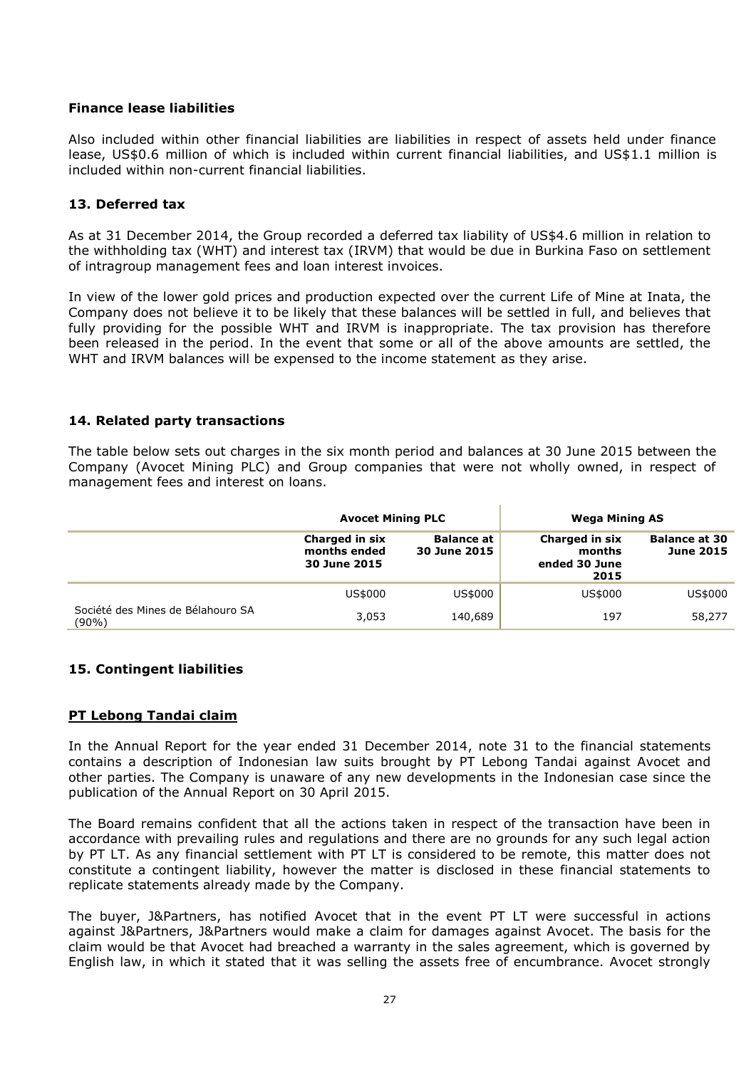#### **Finance lease liabilities**

Also included within other financial liabilities are liabilities in respect of assets held under finance lease, US\$0.6 million of which is included within current financial liabilities, and US\$1.1 million is included within non-current financial liabilities.

### **13. Deferred tax**

As at 31 December 2014, the Group recorded a deferred tax liability of US\$4.6 million in relation to the withholding tax (WHT) and interest tax (IRVM) that would be due in Burkina Faso on settlement of intragroup management fees and loan interest invoices.

In view of the lower gold prices and production expected over the current Life of Mine at Inata, the Company does not believe it to be likely that these balances will be settled in full, and believes that fully providing for the possible WHT and IRVM is inappropriate. The tax provision has therefore been released in the period. In the event that some or all of the above amounts are settled, the WHT and IRVM balances will be expensed to the income statement as they arise.

### **14. Related party transactions**

The table below sets out charges in the six month period and balances at 30 June 2015 between the Company (Avocet Mining PLC) and Group companies that were not wholly owned, in respect of management fees and interest on loans.

|                                            | <b>Avocet Mining PLC</b>                       |                                   | <b>Wega Mining AS</b>                             |                                          |
|--------------------------------------------|------------------------------------------------|-----------------------------------|---------------------------------------------------|------------------------------------------|
|                                            | Charged in six<br>months ended<br>30 June 2015 | <b>Balance at</b><br>30 June 2015 | Charged in six<br>months<br>ended 30 June<br>2015 | <b>Balance at 30</b><br><b>June 2015</b> |
|                                            | US\$000                                        | US\$000                           | US\$000                                           | US\$000                                  |
| Société des Mines de Bélahouro SA<br>(90%) | 3,053                                          | 140,689                           | 197                                               | 58,277                                   |

## **15. Contingent liabilities**

## **PT Lebong Tandai claim**

In the Annual Report for the year ended 31 December 2014, note 31 to the financial statements contains a description of Indonesian law suits brought by PT Lebong Tandai against Avocet and other parties. The Company is unaware of any new developments in the Indonesian case since the publication of the Annual Report on 30 April 2015.

The Board remains confident that all the actions taken in respect of the transaction have been in accordance with prevailing rules and regulations and there are no grounds for any such legal action by PT LT. As any financial settlement with PT LT is considered to be remote, this matter does not constitute a contingent liability, however the matter is disclosed in these financial statements to replicate statements already made by the Company.

The buyer, J&Partners, has notified Avocet that in the event PT LT were successful in actions against J&Partners, J&Partners would make a claim for damages against Avocet. The basis for the claim would be that Avocet had breached a warranty in the sales agreement, which is governed by English law, in which it stated that it was selling the assets free of encumbrance. Avocet strongly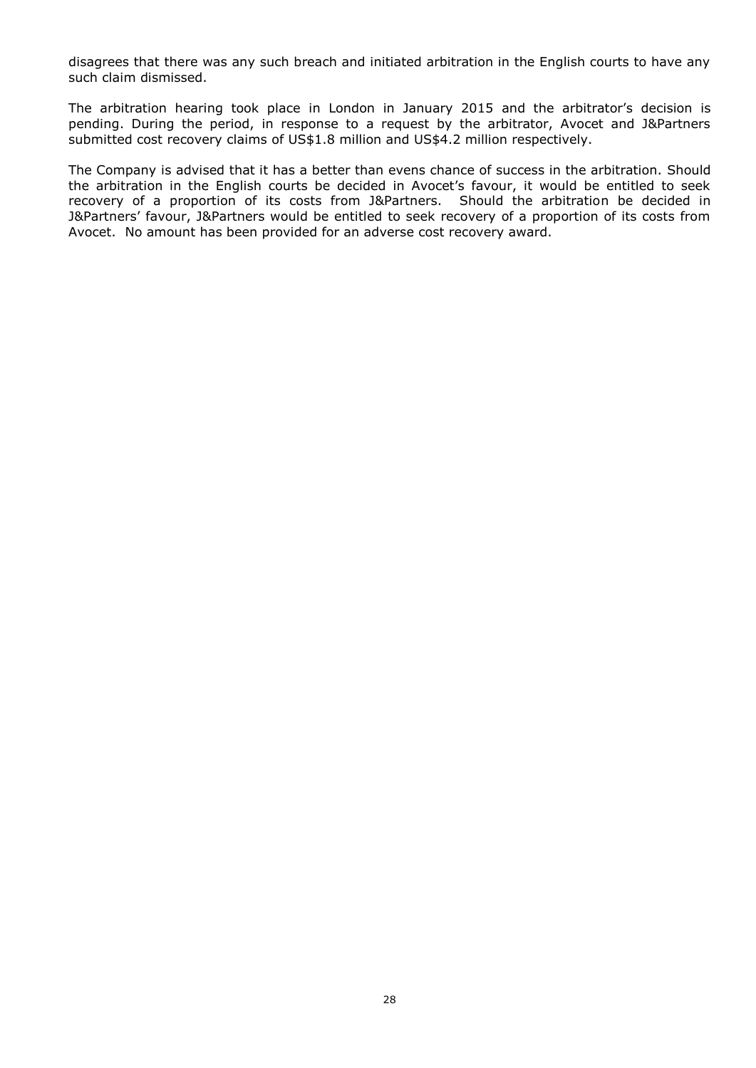disagrees that there was any such breach and initiated arbitration in the English courts to have any such claim dismissed.

The arbitration hearing took place in London in January 2015 and the arbitrator's decision is pending. During the period, in response to a request by the arbitrator, Avocet and J&Partners submitted cost recovery claims of US\$1.8 million and US\$4.2 million respectively.

The Company is advised that it has a better than evens chance of success in the arbitration. Should the arbitration in the English courts be decided in Avocet's favour, it would be entitled to seek recovery of a proportion of its costs from J&Partners. Should the arbitration be decided in J&Partners' favour, J&Partners would be entitled to seek recovery of a proportion of its costs from Avocet. No amount has been provided for an adverse cost recovery award.